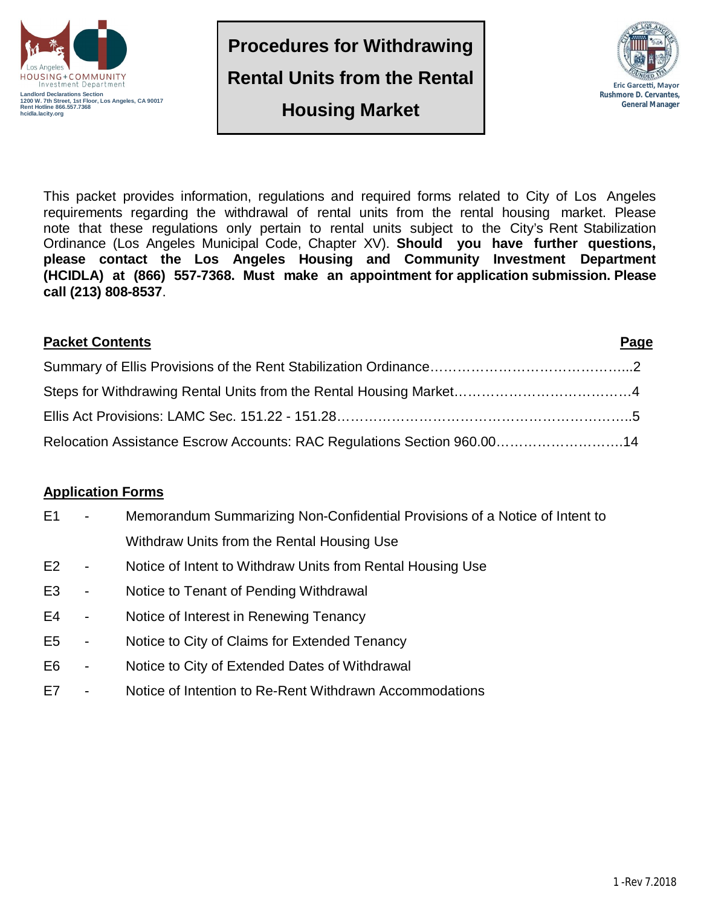

**Procedures for Withdrawing Rental Units from the Rental Housing Market**



This packet provides information, regulations and required forms related to City of Los Angeles requirements regarding the withdrawal of rental units from the rental housing market. Please note that these regulations only pertain to rental units subject to the City's Rent Stabilization Ordinance (Los Angeles Municipal Code, Chapter XV). **Should you have further questions, please contact the Los Angeles Housing and Community Investment Department (HCIDLA) at (866) 557-7368. Must make an appointment for application submission. Please call (213) 808-8537**.

| <b>Packet Contents</b>                                                  | Page |
|-------------------------------------------------------------------------|------|
|                                                                         |      |
|                                                                         |      |
|                                                                         |      |
| Relocation Assistance Escrow Accounts: RAC Regulations Section 960.0014 |      |

#### **Application Forms**

- E1 Memorandum Summarizing Non-Confidential Provisions of a Notice of Intent to Withdraw Units from the Rental Housing Use
- E2 Notice of Intent to Withdraw Units from Rental Housing Use
- E3 Notice to Tenant of Pending Withdrawal
- E4 Notice of Interest in Renewing Tenancy
- E5 Notice to City of Claims for Extended Tenancy
- E6 Notice to City of Extended Dates of Withdrawal
- E7 Notice of Intention to Re-Rent Withdrawn Accommodations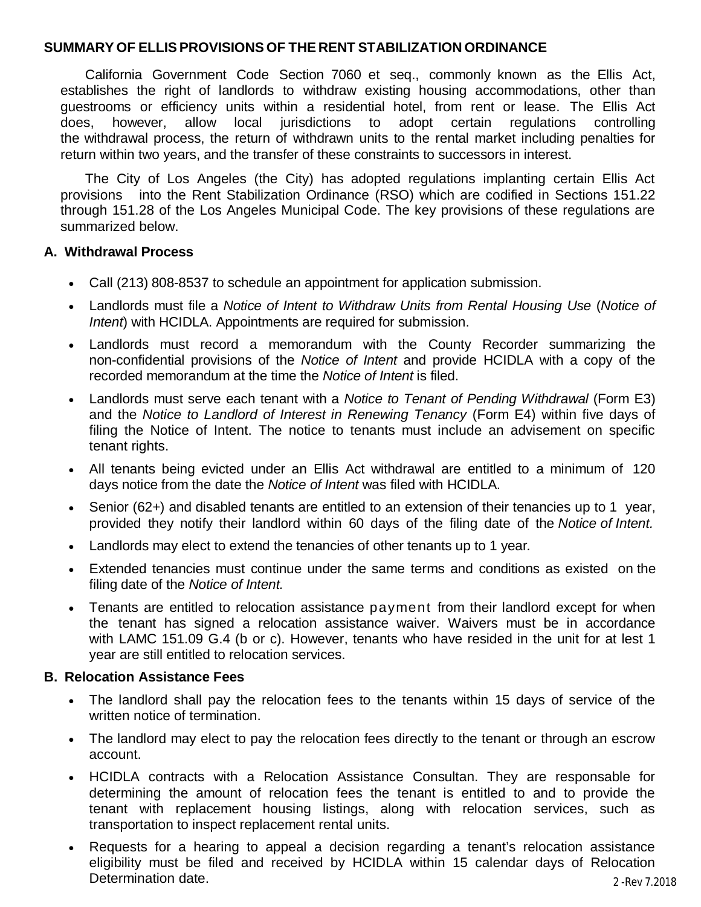#### **SUMMARY OF ELLIS PROVISIONS OF THE RENT STABILIZATION ORDINANCE**

California Government Code Section 7060 et seq., commonly known as the Ellis Act, establishes the right of landlords to withdraw existing housing accommodations, other than guestrooms or efficiency units within a residential hotel, from rent or lease. The Ellis Act does, however, allow local jurisdictions to adopt certain regulations controlling the withdrawal process, the return of withdrawn units to the rental market including penalties for return within two years, and the transfer of these constraints to successors in interest.

The City of Los Angeles (the City) has adopted regulations implanting certain Ellis Act provisions into the Rent Stabilization Ordinance (RSO) which are codified in Sections 151.22 through 151.28 of the Los Angeles Municipal Code. The key provisions of these regulations are summarized below.

#### **A. Withdrawal Process**

- Call (213) 808-8537 to schedule an appointment for application submission.
- Landlords must file a *Notice of Intent to Withdraw Units from Rental Housing Use* (*Notice of Intent*) with HCIDLA. Appointments are required for submission.
- Landlords must record a memorandum with the County Recorder summarizing the non-confidential provisions of the *Notice of Intent* and provide HCIDLA with a copy of the recorded memorandum at the time the *Notice of Intent* is filed.
- Landlords must serve each tenant with a *Notice to Tenant of Pending Withdrawal* (Form E3) and the *Notice to Landlord of Interest in Renewing Tenancy* (Form E4) within five days of filing the Notice of Intent. The notice to tenants must include an advisement on specific tenant rights.
- All tenants being evicted under an Ellis Act withdrawal are entitled to a minimum of 120 days notice from the date the *Notice of Intent* was filed with HCIDLA.
- Senior (62+) and disabled tenants are entitled to an extension of their tenancies up to 1 year, provided they notify their landlord within 60 days of the filing date of the *Notice of Intent.*
- Landlords may elect to extend the tenancies of other tenants up to 1 year*.*
- Extended tenancies must continue under the same terms and conditions as existed on the filing date of the *Notice of Intent.*
- Tenants are entitled to relocation assistance payment from their landlord except for when the tenant has signed a relocation assistance waiver. Waivers must be in accordance with LAMC 151.09 G.4 (b or c). However, tenants who have resided in the unit for at lest 1 year are still entitled to relocation services.

#### **B. Relocation Assistance Fees**

- The landlord shall pay the relocation fees to the tenants within 15 days of service of the written notice of termination.
- The landlord may elect to pay the relocation fees directly to the tenant or through an escrow account.
- HCIDLA contracts with a Relocation Assistance Consultan. They are responsable for determining the amount of relocation fees the tenant is entitled to and to provide the tenant with replacement housing listings, along with relocation services, such as transportation to inspect replacement rental units.
- 2 -Rev 7.2018 • Requests for a hearing to appeal a decision regarding a tenant's relocation assistance eligibility must be filed and received by HCIDLA within 15 calendar days of Relocation Determination date.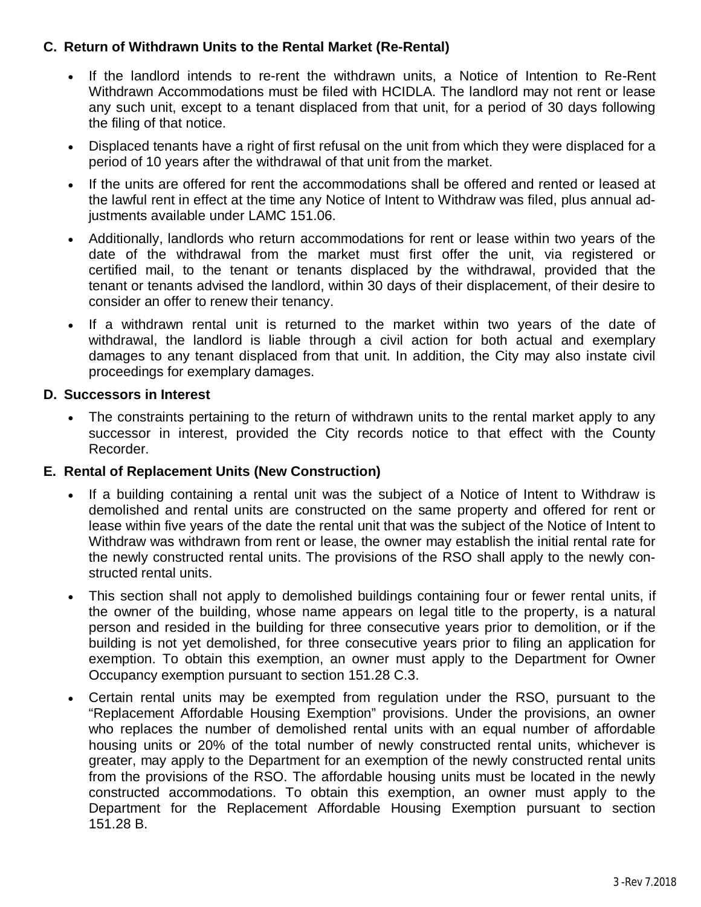#### **C. Return of Withdrawn Units to the Rental Market (Re-Rental)**

- If the landlord intends to re-rent the withdrawn units, a Notice of Intention to Re-Rent Withdrawn Accommodations must be filed with HCIDLA. The landlord may not rent or lease any such unit, except to a tenant displaced from that unit, for a period of 30 days following the filing of that notice.
- Displaced tenants have a right of first refusal on the unit from which they were displaced for a period of 10 years after the withdrawal of that unit from the market.
- If the units are offered for rent the accommodations shall be offered and rented or leased at the lawful rent in effect at the time any Notice of Intent to Withdraw was filed, plus annual adjustments available under LAMC 151.06.
- Additionally, landlords who return accommodations for rent or lease within two years of the date of the withdrawal from the market must first offer the unit, via registered or certified mail, to the tenant or tenants displaced by the withdrawal, provided that the tenant or tenants advised the landlord, within 30 days of their displacement, of their desire to consider an offer to renew their tenancy.
- If a withdrawn rental unit is returned to the market within two years of the date of withdrawal, the landlord is liable through a civil action for both actual and exemplary damages to any tenant displaced from that unit. In addition, the City may also instate civil proceedings for exemplary damages.

#### **D. Successors in Interest**

• The constraints pertaining to the return of withdrawn units to the rental market apply to any successor in interest, provided the City records notice to that effect with the County Recorder.

#### **E. Rental of Replacement Units (New Construction)**

- If a building containing a rental unit was the subject of a Notice of Intent to Withdraw is demolished and rental units are constructed on the same property and offered for rent or lease within five years of the date the rental unit that was the subject of the Notice of Intent to Withdraw was withdrawn from rent or lease, the owner may establish the initial rental rate for the newly constructed rental units. The provisions of the RSO shall apply to the newly constructed rental units.
- This section shall not apply to demolished buildings containing four or fewer rental units, if the owner of the building, whose name appears on legal title to the property, is a natural person and resided in the building for three consecutive years prior to demolition, or if the building is not yet demolished, for three consecutive years prior to filing an application for exemption. To obtain this exemption, an owner must apply to the Department for Owner Occupancy exemption pursuant to section 151.28 C.3.
- Certain rental units may be exempted from regulation under the RSO, pursuant to the "Replacement Affordable Housing Exemption" provisions. Under the provisions, an owner who replaces the number of demolished rental units with an equal number of affordable housing units or 20% of the total number of newly constructed rental units, whichever is greater, may apply to the Department for an exemption of the newly constructed rental units from the provisions of the RSO. The affordable housing units must be located in the newly constructed accommodations. To obtain this exemption, an owner must apply to the Department for the Replacement Affordable Housing Exemption pursuant to section 151.28 B.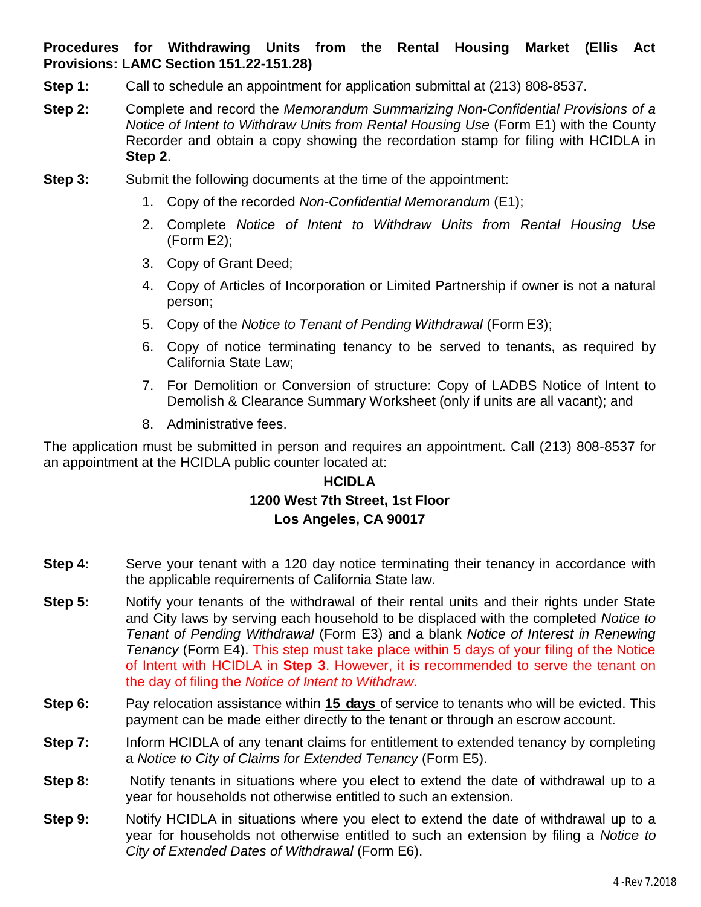**Procedures for Withdrawing Units from the Rental Housing Market (Ellis Act Provisions: LAMC Section 151.22-151.28)**

- **Step 1:** Call to schedule an appointment for application submittal at (213) 808-8537.
- **Step 2:** Complete and record the *Memorandum Summarizing Non-Confidential Provisions of a Notice of Intent to Withdraw Units from Rental Housing Use (Form E1) with the County* Recorder and obtain a copy showing the recordation stamp for filing with HCIDLA in **Step 2**.
- **Step 3:** Submit the following documents at the time of the appointment:
	- 1. Copy of the recorded *Non-Confidential Memorandum* (E1);
	- 2. Complete *Notice of Intent to Withdraw Units from Rental Housing Use*  (Form E2);
	- 3. Copy of Grant Deed;
	- 4. Copy of Articles of Incorporation or Limited Partnership if owner is not a natural person;
	- 5. Copy of the *Notice to Tenant of Pending Withdrawal* (Form E3);
	- 6. Copy of notice terminating tenancy to be served to tenants, as required by California State Law;
	- 7. For Demolition or Conversion of structure: Copy of LADBS Notice of Intent to Demolish & Clearance Summary Worksheet (only if units are all vacant); and
	- 8. Administrative fees.

The application must be submitted in person and requires an appointment. Call (213) 808-8537 for an appointment at the HCIDLA public counter located at:

#### **HCIDLA 1200 West 7th Street, 1st Floor Los Angeles, CA 90017**

- **Step 4:** Serve your tenant with a 120 day notice terminating their tenancy in accordance with the applicable requirements of California State law.
- **Step 5:** Notify your tenants of the withdrawal of their rental units and their rights under State and City laws by serving each household to be displaced with the completed *Notice to Tenant of Pending Withdrawal* (Form E3) and a blank *Notice of Interest in Renewing Tenancy* (Form E4). This step must take place within 5 days of your filing of the Notice of Intent with HCIDLA in **Step 3**. However, it is recommended to serve the tenant on the day of filing the *Notice of Intent to Withdraw*.
- **Step 6:** Pay relocation assistance within **15 days** of service to tenants who will be evicted. This payment can be made either directly to the tenant or through an escrow account.
- **Step 7:** Inform HCIDLA of any tenant claims for entitlement to extended tenancy by completing a *Notice to City of Claims for Extended Tenancy* (Form E5).
- **Step 8:** Notify tenants in situations where you elect to extend the date of withdrawal up to a year for households not otherwise entitled to such an extension.
- **Step 9:** Notify HCIDLA in situations where you elect to extend the date of withdrawal up to a year for households not otherwise entitled to such an extension by filing a *Notice to City of Extended Dates of Withdrawal* (Form E6).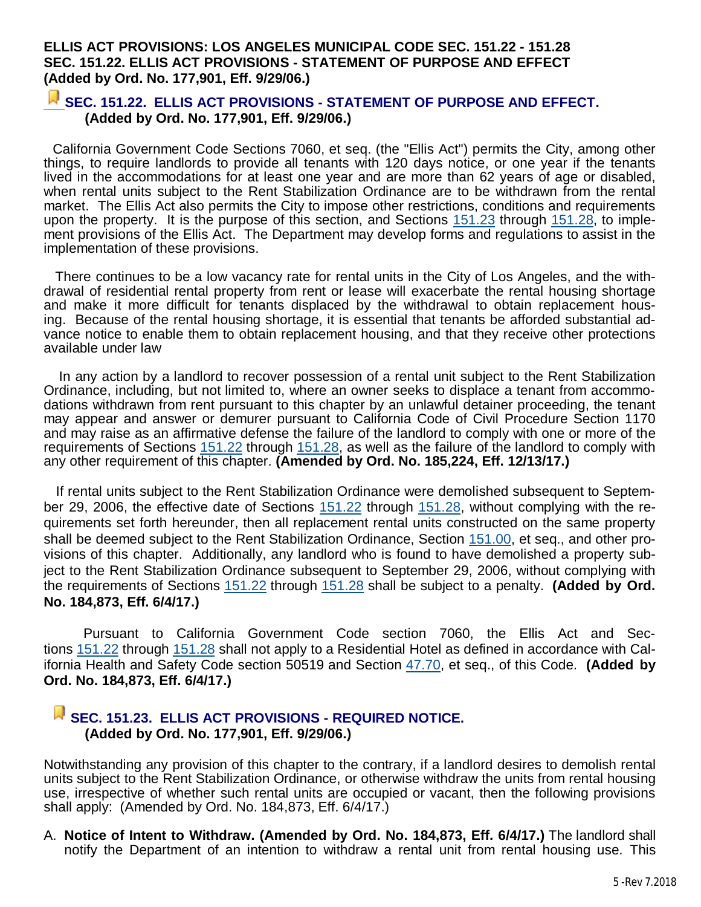#### **ELLIS ACT PROVISIONS: LOS ANGELES MUNICIPAL CODE SEC. 151.22 - 151.28 SEC. 151.22. ELLIS ACT PROVISIONS - STATEMENT OF PURPOSE AND EFFECT (Added by Ord. No. 177,901, Eff. 9/29/06.)**

#### **SEC. 151.22. ELLIS ACT PROVISIONS - STATEMENT OF PURPOSE AND EFFECT. (Added by Ord. No. 177,901, Eff. 9/29/06.)**

 California Government Code Sections 7060, et seq. (the "Ellis Act") permits the City, among other things, to require landlords to provide all tenants with 120 days notice, or one year if the tenants lived in the accommodations for at least one year and are more than 62 years of age or disabled, when rental units subject to the Rent Stabilization Ordinance are to be withdrawn from the rental market. The Ellis Act also permits the City to impose other restrictions, conditions and requirements upon the property. It is the purpose of this section, and Sections 151.23 through 151.28, to implement provisions of the Ellis Act. The Department may develop forms and regulations to assist in the implementation of these provisions.

 There continues to be a low vacancy rate for rental units in the City of Los Angeles, and the withdrawal of residential rental property from rent or lease will exacerbate the rental housing shortage and make it more difficult for tenants displaced by the withdrawal to obtain replacement housing. Because of the rental housing shortage, it is essential that tenants be afforded substantial advance notice to enable them to obtain replacement housing, and that they receive other protections available under law

 In any action by a landlord to recover possession of a rental unit subject to the Rent Stabilization Ordinance, including, but not limited to, where an owner seeks to displace a tenant from accommodations withdrawn from rent pursuant to this chapter by an unlawful detainer proceeding, the tenant may appear and answer or demurer pursuant to California Code of Civil Procedure Section 1170 and may raise as an affirmative defense the failure of the landlord to comply with one or more of the requirements of Sections 151.22 through 151.28, as well as the failure of the landlord to comply with any other requirement of this chapter. **(Amended by Ord. No. 185,224, Eff. 12/13/17.)**

 If rental units subject to the Rent Stabilization Ordinance were demolished subsequent to September 29, 2006, the effective date of Sections 151.22 through 151.28, without complying with the requirements set forth hereunder, then all replacement rental units constructed on the same property shall be deemed subject to the Rent Stabilization Ordinance, Section 151.00, et seq., and other provisions of this chapter. Additionally, any landlord who is found to have demolished a property subject to the Rent Stabilization Ordinance subsequent to September 29, 2006, without complying with the requirements of Sections 151.22 through 151.28 shall be subject to a penalty. **(Added by Ord. No. 184,873, Eff. 6/4/17.)**

 Pursuant to California Government Code section 7060, the Ellis Act and Sections 151.22 through 151.28 shall not apply to a Residential Hotel as defined in accordance with California Health and Safety Code section 50519 and Section 47.70, et seq., of this Code. **(Added by Ord. No. 184,873, Eff. 6/4/17.)**

#### **SEC. 151.23. ELLIS ACT PROVISIONS - REQUIRED NOTICE. (Added by Ord. No. 177,901, Eff. 9/29/06.)**

Notwithstanding any provision of this chapter to the contrary, if a landlord desires to demolish rental units subject to the Rent Stabilization Ordinance, or otherwise withdraw the units from rental housing use, irrespective of whether such rental units are occupied or vacant, then the following provisions shall apply: (Amended by Ord. No. 184,873, Eff. 6/4/17.)

A. **Notice of Intent to Withdraw. (Amended by Ord. No. 184,873, Eff. 6/4/17.)** The landlord shall notify the Department of an intention to withdraw a rental unit from rental housing use. This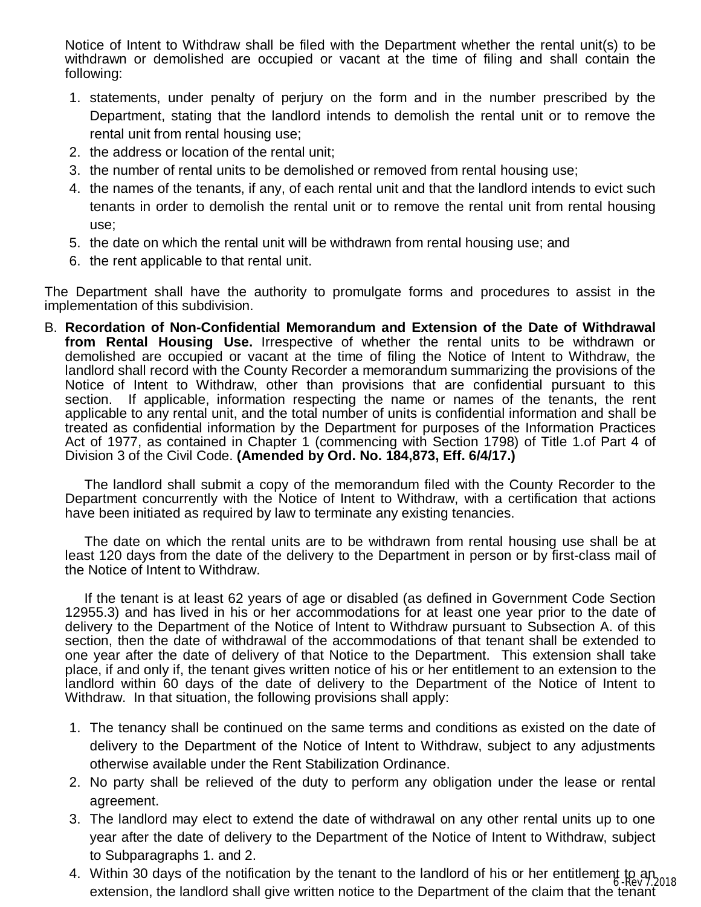Notice of Intent to Withdraw shall be filed with the Department whether the rental unit(s) to be withdrawn or demolished are occupied or vacant at the time of filing and shall contain the following:

- 1. statements, under penalty of perjury on the form and in the number prescribed by the Department, stating that the landlord intends to demolish the rental unit or to remove the rental unit from rental housing use;
- 2. the address or location of the rental unit;
- 3. the number of rental units to be demolished or removed from rental housing use;
- 4. the names of the tenants, if any, of each rental unit and that the landlord intends to evict such tenants in order to demolish the rental unit or to remove the rental unit from rental housing use;
- 5. the date on which the rental unit will be withdrawn from rental housing use; and
- 6. the rent applicable to that rental unit.

The Department shall have the authority to promulgate forms and procedures to assist in the implementation of this subdivision.

B. **Recordation of Non-Confidential Memorandum and Extension of the Date of Withdrawal from Rental Housing Use.** Irrespective of whether the rental units to be withdrawn or demolished are occupied or vacant at the time of filing the Notice of Intent to Withdraw, the landlord shall record with the County Recorder a memorandum summarizing the provisions of the Notice of Intent to Withdraw, other than provisions that are confidential pursuant to this section. If applicable, information respecting the name or names of the tenants, the rent applicable to any rental unit, and the total number of units is confidential information and shall be treated as confidential information by the Department for purposes of the Information Practices Act of 1977, as contained in Chapter 1 (commencing with Section 1798) of Title 1.of Part 4 of Division 3 of the Civil Code. **(Amended by Ord. No. 184,873, Eff. 6/4/17.)**

 The landlord shall submit a copy of the memorandum filed with the County Recorder to the Department concurrently with the Notice of Intent to Withdraw, with a certification that actions have been initiated as required by law to terminate any existing tenancies.

 The date on which the rental units are to be withdrawn from rental housing use shall be at least 120 days from the date of the delivery to the Department in person or by first-class mail of the Notice of Intent to Withdraw.

 If the tenant is at least 62 years of age or disabled (as defined in Government Code Section 12955.3) and has lived in his or her accommodations for at least one year prior to the date of delivery to the Department of the Notice of Intent to Withdraw pursuant to Subsection A. of this section, then the date of withdrawal of the accommodations of that tenant shall be extended to one year after the date of delivery of that Notice to the Department. This extension shall take place, if and only if, the tenant gives written notice of his or her entitlement to an extension to the landlord within 60 days of the date of delivery to the Department of the Notice of Intent to Withdraw. In that situation, the following provisions shall apply:

- 1. The tenancy shall be continued on the same terms and conditions as existed on the date of delivery to the Department of the Notice of Intent to Withdraw, subject to any adjustments otherwise available under the Rent Stabilization Ordinance.
- 2. No party shall be relieved of the duty to perform any obligation under the lease or rental agreement.
- 3. The landlord may elect to extend the date of withdrawal on any other rental units up to one year after the date of delivery to the Department of the Notice of Intent to Withdraw, subject to Subparagraphs 1. and 2.
- 4. Within 30 days of the notification by the tenant to the landlord of his or her entitlement to an 4.6 Rev 7.2018 extension, the landlord shall give written notice to the Department of the claim that the tenant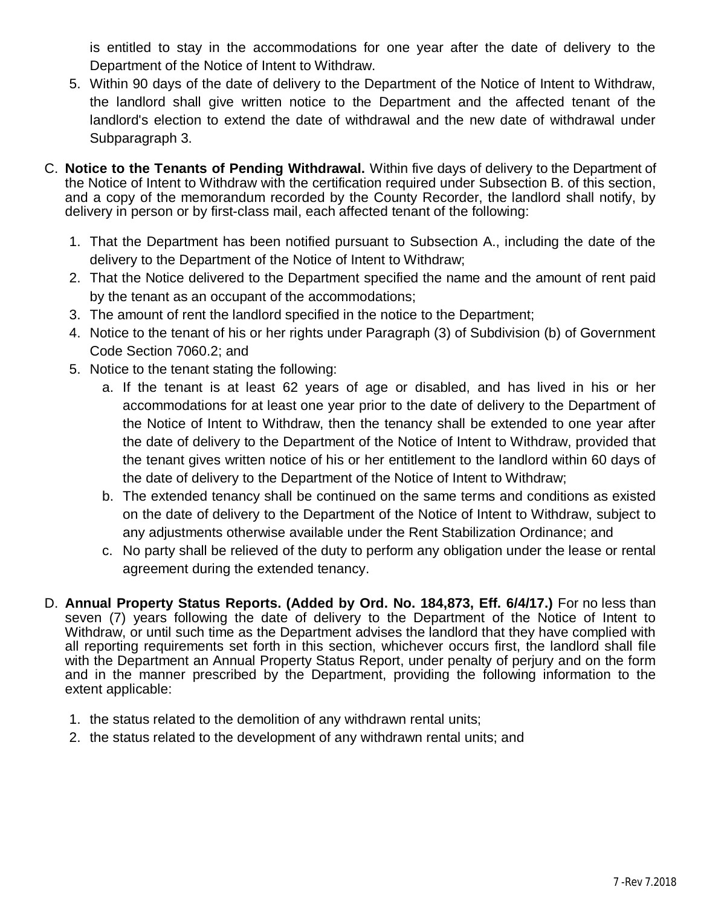is entitled to stay in the accommodations for one year after the date of delivery to the Department of the Notice of Intent to Withdraw.

- 5. Within 90 days of the date of delivery to the Department of the Notice of Intent to Withdraw, the landlord shall give written notice to the Department and the affected tenant of the landlord's election to extend the date of withdrawal and the new date of withdrawal under Subparagraph 3.
- C. **Notice to the Tenants of Pending Withdrawal.** Within five days of delivery to the Department of the Notice of Intent to Withdraw with the certification required under Subsection B. of this section, and a copy of the memorandum recorded by the County Recorder, the landlord shall notify, by delivery in person or by first-class mail, each affected tenant of the following:
	- 1. That the Department has been notified pursuant to Subsection A., including the date of the delivery to the Department of the Notice of Intent to Withdraw;
	- 2. That the Notice delivered to the Department specified the name and the amount of rent paid by the tenant as an occupant of the accommodations;
	- 3. The amount of rent the landlord specified in the notice to the Department;
	- 4. Notice to the tenant of his or her rights under Paragraph (3) of Subdivision (b) of Government Code Section 7060.2; and
	- 5. Notice to the tenant stating the following:
		- a. If the tenant is at least 62 years of age or disabled, and has lived in his or her accommodations for at least one year prior to the date of delivery to the Department of the Notice of Intent to Withdraw, then the tenancy shall be extended to one year after the date of delivery to the Department of the Notice of Intent to Withdraw, provided that the tenant gives written notice of his or her entitlement to the landlord within 60 days of the date of delivery to the Department of the Notice of Intent to Withdraw;
		- b. The extended tenancy shall be continued on the same terms and conditions as existed on the date of delivery to the Department of the Notice of Intent to Withdraw, subject to any adjustments otherwise available under the Rent Stabilization Ordinance; and
		- c. No party shall be relieved of the duty to perform any obligation under the lease or rental agreement during the extended tenancy.
- D. **Annual Property Status Reports. (Added by Ord. No. 184,873, Eff. 6/4/17.)** For no less than seven (7) years following the date of delivery to the Department of the Notice of Intent to Withdraw, or until such time as the Department advises the landlord that they have complied with all reporting requirements set forth in this section, whichever occurs first, the landlord shall file with the Department an Annual Property Status Report, under penalty of perjury and on the form and in the manner prescribed by the Department, providing the following information to the extent applicable:
	- 1. the status related to the demolition of any withdrawn rental units;
	- 2. the status related to the development of any withdrawn rental units; and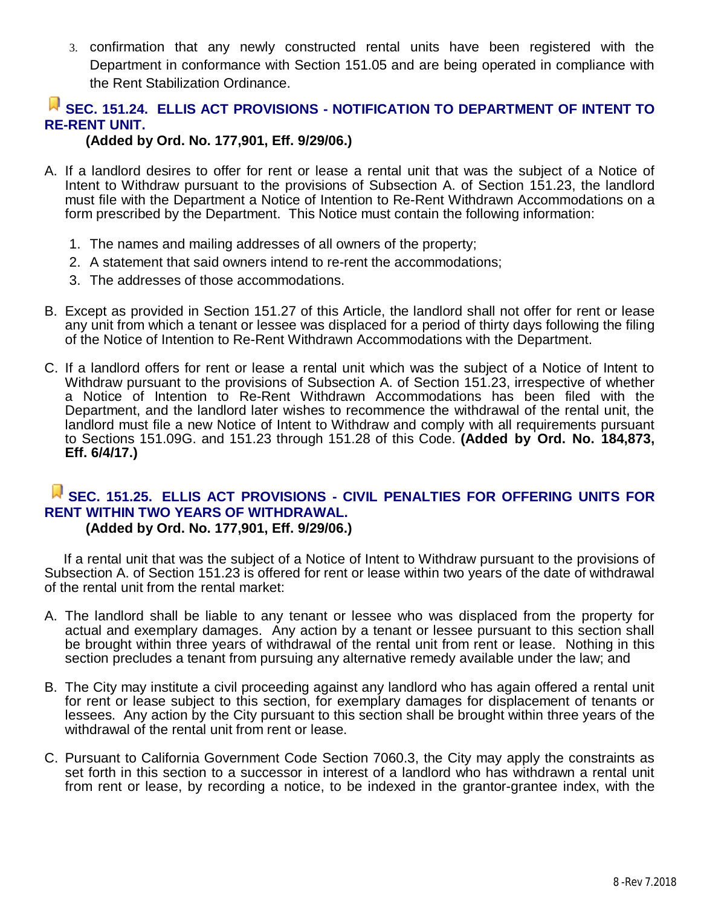3. confirmation that any newly constructed rental units have been registered with the Department in conformance with Section 151.05 and are being operated in compliance with the Rent Stabilization Ordinance.

#### **SEC. 151.24. ELLIS ACT PROVISIONS - NOTIFICATION TO DEPARTMENT OF INTENT TO RE-RENT UNIT.**

**(Added by Ord. No. 177,901, Eff. 9/29/06.)**

- A. If a landlord desires to offer for rent or lease a rental unit that was the subject of a Notice of Intent to Withdraw pursuant to the provisions of Subsection A. of Section 151.23, the landlord must file with the Department a Notice of Intention to Re-Rent Withdrawn Accommodations on a form prescribed by the Department. This Notice must contain the following information:
	- 1. The names and mailing addresses of all owners of the property;
	- 2. A statement that said owners intend to re-rent the accommodations;
	- 3. The addresses of those accommodations.
- B. Except as provided in Section 151.27 of this Article, the landlord shall not offer for rent or lease any unit from which a tenant or lessee was displaced for a period of thirty days following the filing of the Notice of Intention to Re-Rent Withdrawn Accommodations with the Department.
- C. If a landlord offers for rent or lease a rental unit which was the subject of a Notice of Intent to Withdraw pursuant to the provisions of Subsection A. of Section 151.23, irrespective of whether a Notice of Intention to Re-Rent Withdrawn Accommodations has been filed with the Department, and the landlord later wishes to recommence the withdrawal of the rental unit, the landlord must file a new Notice of Intent to Withdraw and comply with all requirements pursuant to Sections 151.09G. and 151.23 through 151.28 of this Code. **(Added by Ord. No. 184,873, Eff. 6/4/17.)**

#### **SEC. 151.25. ELLIS ACT PROVISIONS - CIVIL PENALTIES FOR OFFERING UNITS FOR RENT WITHIN TWO YEARS OF WITHDRAWAL. (Added by Ord. No. 177,901, Eff. 9/29/06.)**

 If a rental unit that was the subject of a Notice of Intent to Withdraw pursuant to the provisions of Subsection A. of Section 151.23 is offered for rent or lease within two years of the date of withdrawal of the rental unit from the rental market:

- A. The landlord shall be liable to any tenant or lessee who was displaced from the property for actual and exemplary damages. Any action by a tenant or lessee pursuant to this section shall be brought within three years of withdrawal of the rental unit from rent or lease. Nothing in this section precludes a tenant from pursuing any alternative remedy available under the law; and
- B. The City may institute a civil proceeding against any landlord who has again offered a rental unit for rent or lease subject to this section, for exemplary damages for displacement of tenants or lessees. Any action by the City pursuant to this section shall be brought within three years of the withdrawal of the rental unit from rent or lease.
- C. Pursuant to California Government Code Section 7060.3, the City may apply the constraints as set forth in this section to a successor in interest of a landlord who has withdrawn a rental unit from rent or lease, by recording a notice, to be indexed in the grantor-grantee index, with the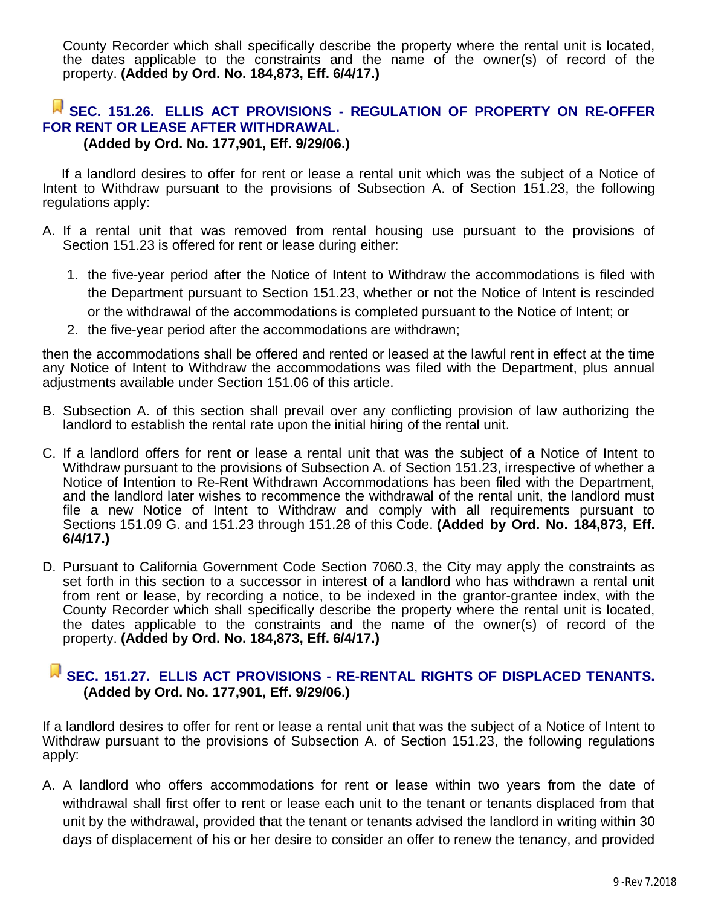County Recorder which shall specifically describe the property where the rental unit is located, the dates applicable to the constraints and the name of the owner(s) of record of the property. **(Added by Ord. No. 184,873, Eff. 6/4/17.)**

#### **SEC. 151.26. ELLIS ACT PROVISIONS - REGULATION OF PROPERTY ON RE-OFFER FOR RENT OR LEASE AFTER WITHDRAWAL. (Added by Ord. No. 177,901, Eff. 9/29/06.)**

 If a landlord desires to offer for rent or lease a rental unit which was the subject of a Notice of Intent to Withdraw pursuant to the provisions of Subsection A. of Section 151.23, the following regulations apply:

- A. If a rental unit that was removed from rental housing use pursuant to the provisions of Section 151.23 is offered for rent or lease during either:
	- 1. the five-year period after the Notice of Intent to Withdraw the accommodations is filed with the Department pursuant to Section 151.23, whether or not the Notice of Intent is rescinded or the withdrawal of the accommodations is completed pursuant to the Notice of Intent; or
	- 2. the five-year period after the accommodations are withdrawn;

then the accommodations shall be offered and rented or leased at the lawful rent in effect at the time any Notice of Intent to Withdraw the accommodations was filed with the Department, plus annual adjustments available under Section 151.06 of this article.

- B. Subsection A. of this section shall prevail over any conflicting provision of law authorizing the landlord to establish the rental rate upon the initial hiring of the rental unit.
- C. If a landlord offers for rent or lease a rental unit that was the subject of a Notice of Intent to Withdraw pursuant to the provisions of Subsection A. of Section 151.23, irrespective of whether a Notice of Intention to Re-Rent Withdrawn Accommodations has been filed with the Department, and the landlord later wishes to recommence the withdrawal of the rental unit, the landlord must file a new Notice of Intent to Withdraw and comply with all requirements pursuant to Sections 151.09 G. and 151.23 through 151.28 of this Code. **(Added by Ord. No. 184,873, Eff. 6/4/17.)**
- D. Pursuant to California Government Code Section 7060.3, the City may apply the constraints as set forth in this section to a successor in interest of a landlord who has withdrawn a rental unit from rent or lease, by recording a notice, to be indexed in the grantor-grantee index, with the County Recorder which shall specifically describe the property where the rental unit is located, the dates applicable to the constraints and the name of the owner(s) of record of the property. **(Added by Ord. No. 184,873, Eff. 6/4/17.)**

#### **SEC. 151.27. ELLIS ACT PROVISIONS - RE-RENTAL RIGHTS OF DISPLACED TENANTS. (Added by Ord. No. 177,901, Eff. 9/29/06.)**

If a landlord desires to offer for rent or lease a rental unit that was the subject of a Notice of Intent to Withdraw pursuant to the provisions of Subsection A. of Section 151.23, the following regulations apply:

A. A landlord who offers accommodations for rent or lease within two years from the date of withdrawal shall first offer to rent or lease each unit to the tenant or tenants displaced from that unit by the withdrawal, provided that the tenant or tenants advised the landlord in writing within 30 days of displacement of his or her desire to consider an offer to renew the tenancy, and provided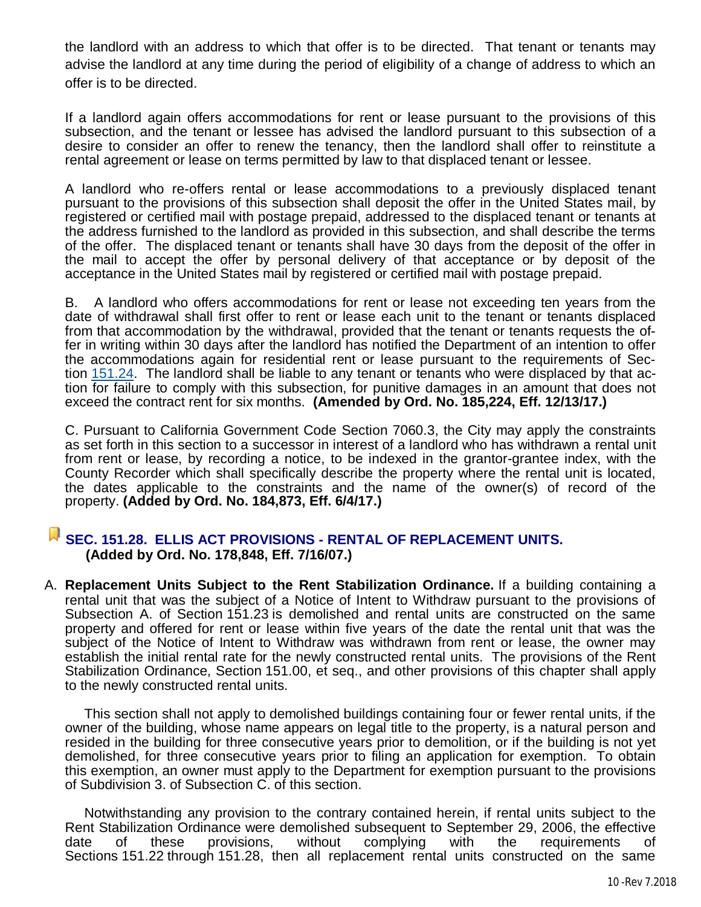the landlord with an address to which that offer is to be directed. That tenant or tenants may advise the landlord at any time during the period of eligibility of a change of address to which an offer is to be directed.

If a landlord again offers accommodations for rent or lease pursuant to the provisions of this subsection, and the tenant or lessee has advised the landlord pursuant to this subsection of a desire to consider an offer to renew the tenancy, then the landlord shall offer to reinstitute a rental agreement or lease on terms permitted by law to that displaced tenant or lessee.

A landlord who re-offers rental or lease accommodations to a previously displaced tenant pursuant to the provisions of this subsection shall deposit the offer in the United States mail, by registered or certified mail with postage prepaid, addressed to the displaced tenant or tenants at the address furnished to the landlord as provided in this subsection, and shall describe the terms of the offer. The displaced tenant or tenants shall have 30 days from the deposit of the offer in the mail to accept the offer by personal delivery of that acceptance or by deposit of the acceptance in the United States mail by registered or certified mail with postage prepaid.

B. A landlord who offers accommodations for rent or lease not exceeding ten years from the date of withdrawal shall first offer to rent or lease each unit to the tenant or tenants displaced from that accommodation by the withdrawal, provided that the tenant or tenants requests the offer in writing within 30 days after the landlord has notified the Department of an intention to offer the accommodations again for residential rent or lease pursuant to the requirements of Section 151.24. The landlord shall be liable to any tenant or tenants who were displaced by that action for failure to comply with this subsection, for punitive damages in an amount that does not exceed the contract rent for six months. **(Amended by Ord. No. 185,224, Eff. 12/13/17.)**

C. Pursuant to California Government Code Section 7060.3, the City may apply the constraints as set forth in this section to a successor in interest of a landlord who has withdrawn a rental unit from rent or lease, by recording a notice, to be indexed in the grantor-grantee index, with the County Recorder which shall specifically describe the property where the rental unit is located, the dates applicable to the constraints and the name of the owner(s) of record of the property. **(Added by Ord. No. 184,873, Eff. 6/4/17.)**

#### **SEC. 151.28. ELLIS ACT PROVISIONS - RENTAL OF REPLACEMENT UNITS. (Added by Ord. No. 178,848, Eff. 7/16/07.)**

A. **Replacement Units Subject to the Rent Stabilization Ordinance.** If a building containing a rental unit that was the subject of a Notice of Intent to Withdraw pursuant to the provisions of Subsection A. of Section 151.23 is demolished and rental units are constructed on the same property and offered for rent or lease within five years of the date the rental unit that was the subject of the Notice of Intent to Withdraw was withdrawn from rent or lease, the owner may establish the initial rental rate for the newly constructed rental units. The provisions of the Rent Stabilization Ordinance, Section 151.00, et seq., and other provisions of this chapter shall apply to the newly constructed rental units.

 This section shall not apply to demolished buildings containing four or fewer rental units, if the owner of the building, whose name appears on legal title to the property, is a natural person and resided in the building for three consecutive years prior to demolition, or if the building is not yet demolished, for three consecutive years prior to filing an application for exemption. To obtain this exemption, an owner must apply to the Department for exemption pursuant to the provisions of Subdivision 3. of Subsection C. of this section.

 Notwithstanding any provision to the contrary contained herein, if rental units subject to the Rent Stabilization Ordinance were demolished subsequent to September 29, 2006, the effective date of these provisions, without complying with the requirements of Sections 151.22 through 151.28, then all replacement rental units constructed on the same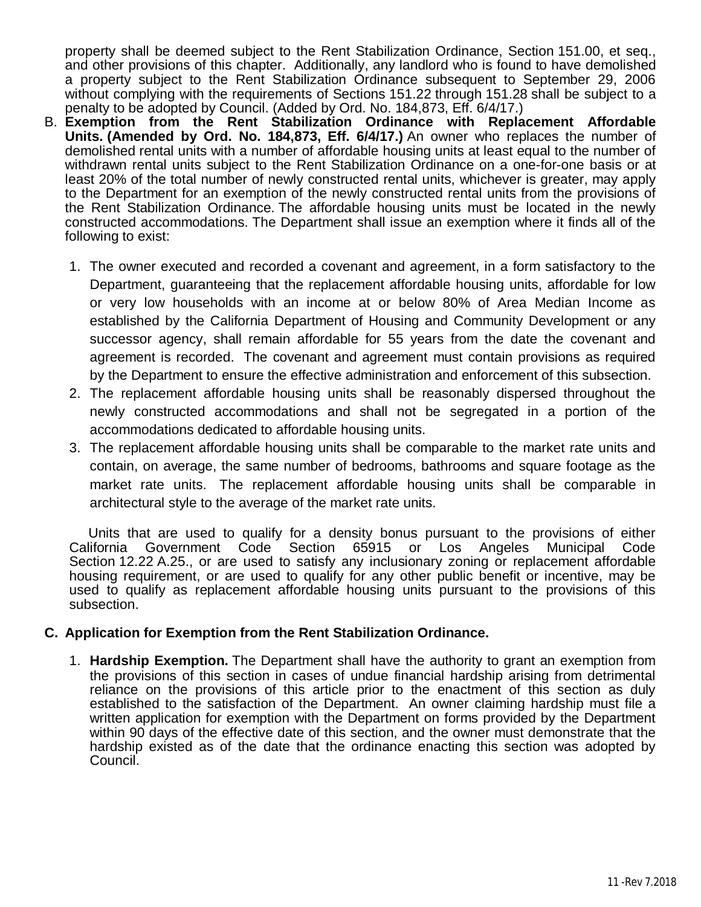property shall be deemed subject to the Rent Stabilization Ordinance, Section 151.00, et seq., and other provisions of this chapter. Additionally, any landlord who is found to have demolished a property subject to the Rent Stabilization Ordinance subsequent to September 29, 2006 without complying with the requirements of Sections 151.22 through 151.28 shall be subject to a penalty to be adopted by Council. (Added by Ord. No. 184,873, Eff. 6/4/17.)

- B. **Exemption from the Rent Stabilization Ordinance with Replacement Affordable Units. (Amended by Ord. No. 184,873, Eff. 6/4/17.)** An owner who replaces the number of demolished rental units with a number of affordable housing units at least equal to the number of withdrawn rental units subject to the Rent Stabilization Ordinance on a one-for-one basis or at least 20% of the total number of newly constructed rental units, whichever is greater, may apply to the Department for an exemption of the newly constructed rental units from the provisions of the Rent Stabilization Ordinance. The affordable housing units must be located in the newly constructed accommodations. The Department shall issue an exemption where it finds all of the following to exist:
	- 1. The owner executed and recorded a covenant and agreement, in a form satisfactory to the Department, guaranteeing that the replacement affordable housing units, affordable for low or very low households with an income at or below 80% of Area Median Income as established by the California Department of Housing and Community Development or any successor agency, shall remain affordable for 55 years from the date the covenant and agreement is recorded. The covenant and agreement must contain provisions as required by the Department to ensure the effective administration and enforcement of this subsection.
	- 2. The replacement affordable housing units shall be reasonably dispersed throughout the newly constructed accommodations and shall not be segregated in a portion of the accommodations dedicated to affordable housing units.
	- 3. The replacement affordable housing units shall be comparable to the market rate units and contain, on average, the same number of bedrooms, bathrooms and square footage as the market rate units. The replacement affordable housing units shall be comparable in architectural style to the average of the market rate units.

 Units that are used to qualify for a density bonus pursuant to the provisions of either California Government Code Section 65915 or Los Angeles Municipal Code Section 12.22 A.25., or are used to satisfy any inclusionary zoning or replacement affordable housing requirement, or are used to qualify for any other public benefit or incentive, may be used to qualify as replacement affordable housing units pursuant to the provisions of this subsection.

#### **C. Application for Exemption from the Rent Stabilization Ordinance.**

1. **Hardship Exemption.** The Department shall have the authority to grant an exemption from the provisions of this section in cases of undue financial hardship arising from detrimental reliance on the provisions of this article prior to the enactment of this section as duly established to the satisfaction of the Department. An owner claiming hardship must file a written application for exemption with the Department on forms provided by the Department within 90 days of the effective date of this section, and the owner must demonstrate that the hardship existed as of the date that the ordinance enacting this section was adopted by Council.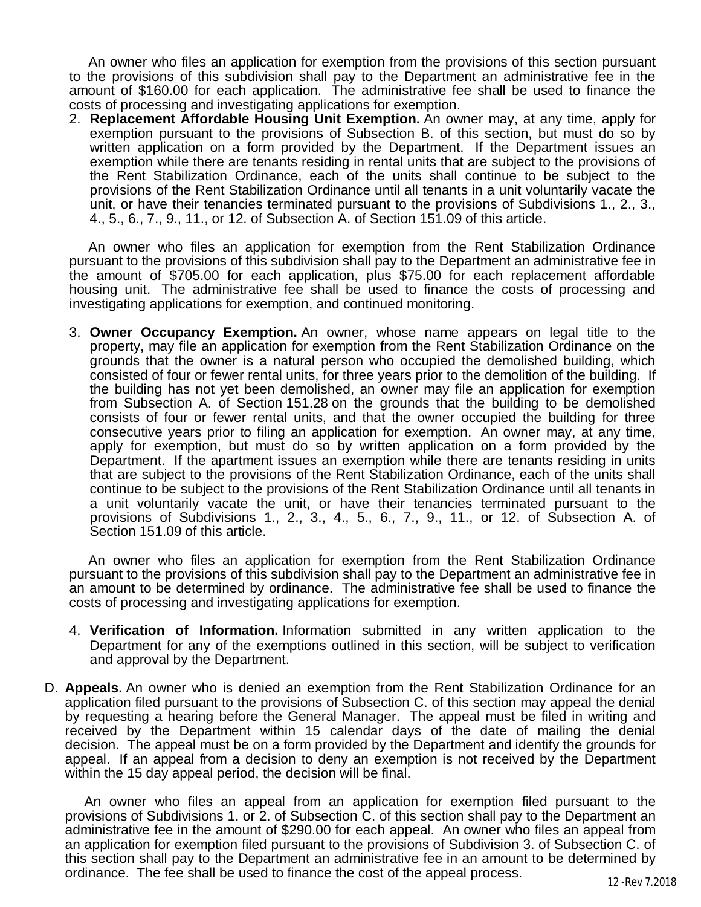An owner who files an application for exemption from the provisions of this section pursuant to the provisions of this subdivision shall pay to the Department an administrative fee in the amount of \$160.00 for each application. The administrative fee shall be used to finance the costs of processing and investigating applications for exemption.

2. **Replacement Affordable Housing Unit Exemption.** An owner may, at any time, apply for exemption pursuant to the provisions of Subsection B. of this section, but must do so by written application on a form provided by the Department. If the Department issues an exemption while there are tenants residing in rental units that are subject to the provisions of the Rent Stabilization Ordinance, each of the units shall continue to be subject to the provisions of the Rent Stabilization Ordinance until all tenants in a unit voluntarily vacate the unit, or have their tenancies terminated pursuant to the provisions of Subdivisions 1., 2., 3., 4., 5., 6., 7., 9., 11., or 12. of Subsection A. of Section 151.09 of this article.

 An owner who files an application for exemption from the Rent Stabilization Ordinance pursuant to the provisions of this subdivision shall pay to the Department an administrative fee in the amount of \$705.00 for each application, plus \$75.00 for each replacement affordable housing unit. The administrative fee shall be used to finance the costs of processing and investigating applications for exemption, and continued monitoring.

3. **Owner Occupancy Exemption.** An owner, whose name appears on legal title to the property, may file an application for exemption from the Rent Stabilization Ordinance on the grounds that the owner is a natural person who occupied the demolished building, which consisted of four or fewer rental units, for three years prior to the demolition of the building. If the building has not yet been demolished, an owner may file an application for exemption from Subsection A. of Section 151.28 on the grounds that the building to be demolished consists of four or fewer rental units, and that the owner occupied the building for three consecutive years prior to filing an application for exemption. An owner may, at any time, apply for exemption, but must do so by written application on a form provided by the Department. If the apartment issues an exemption while there are tenants residing in units that are subject to the provisions of the Rent Stabilization Ordinance, each of the units shall continue to be subject to the provisions of the Rent Stabilization Ordinance until all tenants in a unit voluntarily vacate the unit, or have their tenancies terminated pursuant to the provisions of Subdivisions 1., 2., 3., 4., 5., 6., 7., 9., 11., or 12. of Subsection A. of Section 151.09 of this article.

 An owner who files an application for exemption from the Rent Stabilization Ordinance pursuant to the provisions of this subdivision shall pay to the Department an administrative fee in an amount to be determined by ordinance. The administrative fee shall be used to finance the costs of processing and investigating applications for exemption.

- 4. **Verification of Information.** Information submitted in any written application to the Department for any of the exemptions outlined in this section, will be subject to verification and approval by the Department.
- D. **Appeals.** An owner who is denied an exemption from the Rent Stabilization Ordinance for an application filed pursuant to the provisions of Subsection C. of this section may appeal the denial by requesting a hearing before the General Manager. The appeal must be filed in writing and received by the Department within 15 calendar days of the date of mailing the denial decision. The appeal must be on a form provided by the Department and identify the grounds for appeal. If an appeal from a decision to deny an exemption is not received by the Department within the 15 day appeal period, the decision will be final.

 An owner who files an appeal from an application for exemption filed pursuant to the provisions of Subdivisions 1. or 2. of Subsection C. of this section shall pay to the Department an administrative fee in the amount of \$290.00 for each appeal. An owner who files an appeal from an application for exemption filed pursuant to the provisions of Subdivision 3. of Subsection C. of this section shall pay to the Department an administrative fee in an amount to be determined by ordinance. The fee shall be used to finance the cost of the appeal process.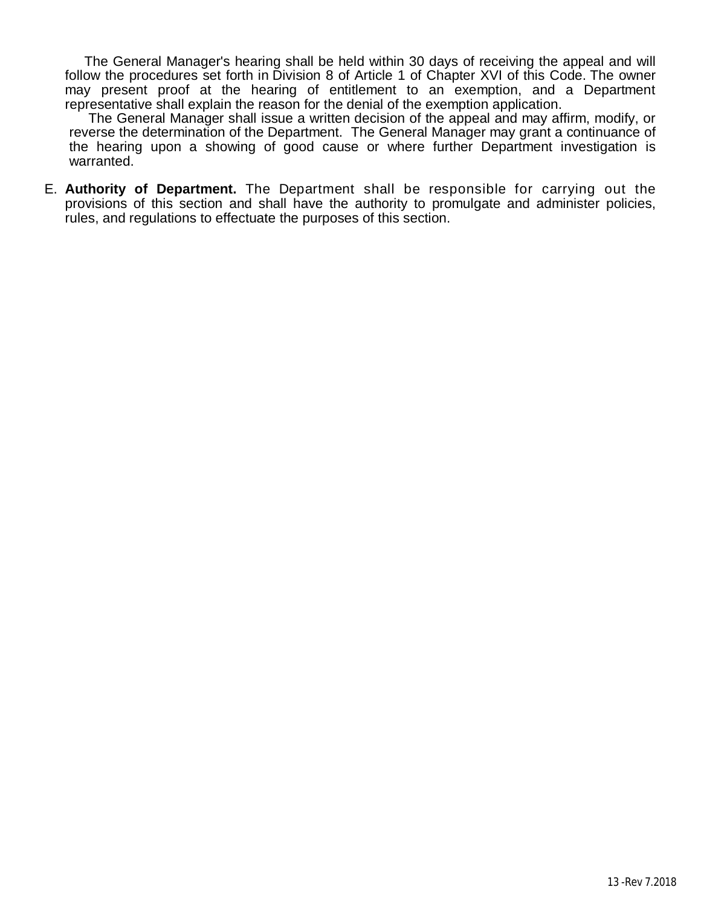The General Manager's hearing shall be held within 30 days of receiving the appeal and will follow the procedures set forth in Division 8 of Article 1 of Chapter XVI of this Code. The owner may present proof at the hearing of entitlement to an exemption, and a Department representative shall explain the reason for the denial of the exemption application.

 The General Manager shall issue a written decision of the appeal and may affirm, modify, or reverse the determination of the Department. The General Manager may grant a continuance of the hearing upon a showing of good cause or where further Department investigation is warranted.

E. **Authority of Department.** The Department shall be responsible for carrying out the provisions of this section and shall have the authority to promulgate and administer policies, rules, and regulations to effectuate the purposes of this section.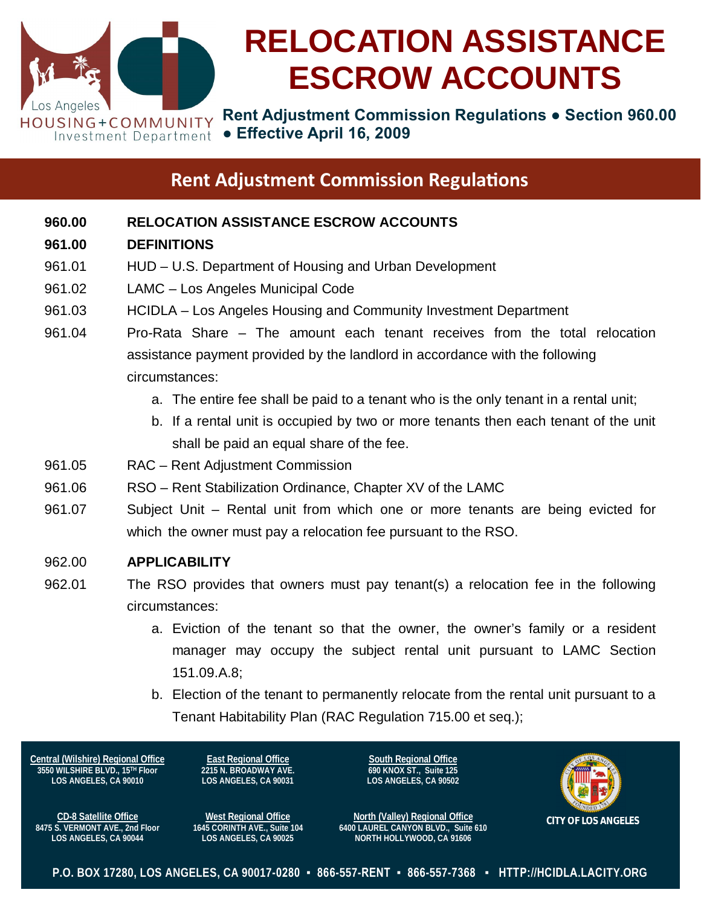

**Rent Adjustment Commission Regulations ● Section 960.00 ● Effective April 16, 2009**

## **Rent Adjustment Commission Regulations**

#### **960.00 RELOCATION ASSISTANCE ESCROW ACCOUNTS**

#### **961.00 DEFINITIONS**

- 961.01 HUD U.S. Department of Housing and Urban Development
- 961.02 LAMC Los Angeles Municipal Code
- 961.03 HCIDLA Los Angeles Housing and Community Investment Department
- 961.04 Pro-Rata Share The amount each tenant receives from the total relocation assistance payment provided by the landlord in accordance with the following circumstances:
	- a. The entire fee shall be paid to a tenant who is the only tenant in a rental unit;
	- b. If a rental unit is occupied by two or more tenants then each tenant of the unit shall be paid an equal share of the fee.
- 961.05 RAC Rent Adjustment Commission
- 961.06 RSO Rent Stabilization Ordinance, Chapter XV of the LAMC
- 961.07 Subject Unit Rental unit from which one or more tenants are being evicted for which the owner must pay a relocation fee pursuant to the RSO.

#### 962.00 **APPLICABILITY**

- 962.01 The RSO provides that owners must pay tenant(s) a relocation fee in the following circumstances:
	- a. Eviction of the tenant so that the owner, the owner's family or a resident manager may occupy the subject rental unit pursuant to LAMC Section 151.09.A.8;
	- b. Election of the tenant to permanently relocate from the rental unit pursuant to a Tenant Habitability Plan (RAC Regulation 715.00 et seq.);

**Central (Wilshire) Regional Office 3550 WILSHIRE BLVD., 15TH Floor LOS ANGELES, CA 90010**

**East Regional Office 2215 N. BROADWAY AVE. LOS ANGELES, CA 90031**

**South Regional Office 690 KNOX ST., Suite 125 LOS ANGELES, CA 90502**

**CITY OF LOS ANGELES CD-8 Satellite Office West Regional Office North (Valley) Regional Office 6400 LAUREL CANYON BLVD., Suite 610 NORTH HOLLYWOOD, CA 91606**



**8475 S. VERMONT AVE., 2nd Floor LOS ANGELES, CA 90044**

**1645 CORINTH AVE., Suite 104 LOS ANGELES, CA 90025**

**P.O. BOX 17280, LOS ANGELES, CA 90017-0280 ▪ 866-557-RENT ▪ 866-557-7368 ▪ HTTP://HCIDLA.LACITY.ORG**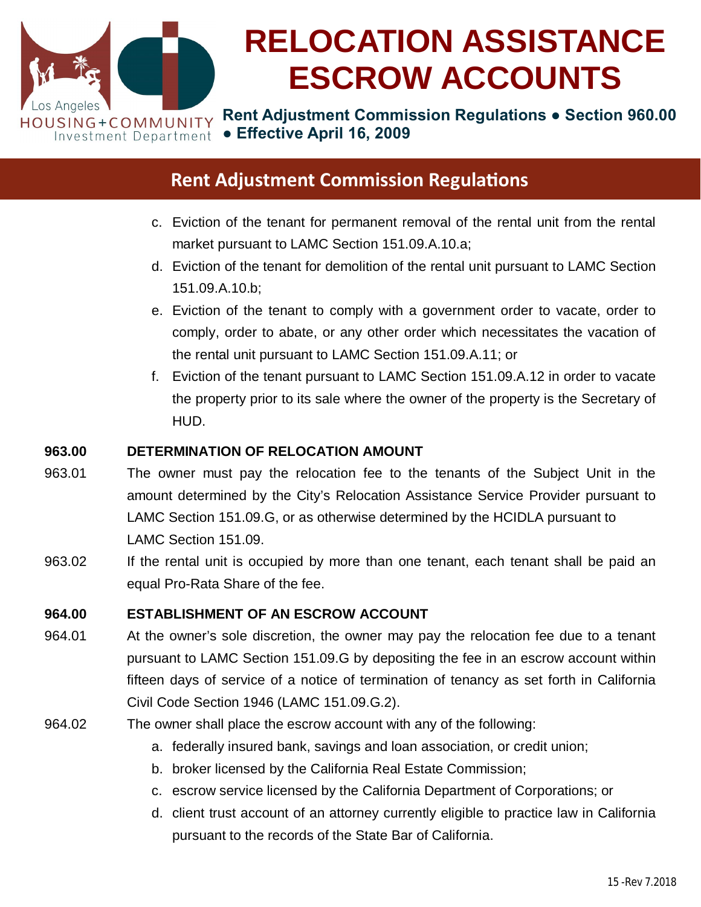

**Rent Adjustment Commission Regulations ● Section 960.00 ● Effective April 16, 2009**

## **Rent Adjustment Commission Regulations**

- c. Eviction of the tenant for permanent removal of the rental unit from the rental market pursuant to LAMC Section 151.09.A.10.a;
- d. Eviction of the tenant for demolition of the rental unit pursuant to LAMC Section 151.09.A.10.b;
- e. Eviction of the tenant to comply with a government order to vacate, order to comply, order to abate, or any other order which necessitates the vacation of the rental unit pursuant to LAMC Section 151.09.A.11; or
- f. Eviction of the tenant pursuant to LAMC Section 151.09.A.12 in order to vacate the property prior to its sale where the owner of the property is the Secretary of HUD.

#### **963.00 DETERMINATION OF RELOCATION AMOUNT**

- 963.01 The owner must pay the relocation fee to the tenants of the Subject Unit in the amount determined by the City's Relocation Assistance Service Provider pursuant to LAMC Section 151.09.G, or as otherwise determined by the HCIDLA pursuant to LAMC Section 151.09.
- 963.02 If the rental unit is occupied by more than one tenant, each tenant shall be paid an equal Pro-Rata Share of the fee.

#### **964.00 ESTABLISHMENT OF AN ESCROW ACCOUNT**

- 964.01 At the owner's sole discretion, the owner may pay the relocation fee due to a tenant pursuant to LAMC Section 151.09.G by depositing the fee in an escrow account within fifteen days of service of a notice of termination of tenancy as set forth in California Civil Code Section 1946 (LAMC 151.09.G.2).
- 964.02 The owner shall place the escrow account with any of the following:
	- a. federally insured bank, savings and loan association, or credit union;
	- b. broker licensed by the California Real Estate Commission;
	- c. escrow service licensed by the California Department of Corporations; or
	- d. client trust account of an attorney currently eligible to practice law in California pursuant to the records of the State Bar of California.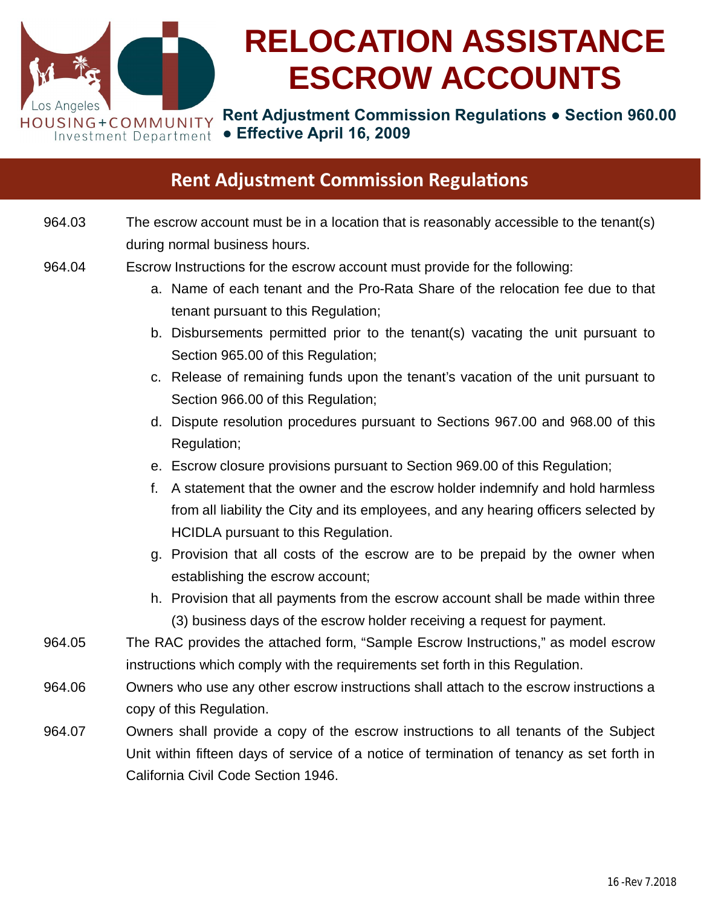

**Rent Adjustment Commission Regulations ● Section 960.00 ● Effective April 16, 2009**

## **Rent Adjustment Commission Regulations**

- 964.03 The escrow account must be in a location that is reasonably accessible to the tenant(s) during normal business hours.
- 964.04 Escrow Instructions for the escrow account must provide for the following:
	- a. Name of each tenant and the Pro-Rata Share of the relocation fee due to that tenant pursuant to this Regulation;
	- b. Disbursements permitted prior to the tenant(s) vacating the unit pursuant to Section 965.00 of this Regulation;
	- c. Release of remaining funds upon the tenant's vacation of the unit pursuant to Section 966.00 of this Regulation;
	- d. Dispute resolution procedures pursuant to Sections 967.00 and 968.00 of this Regulation;
	- e. Escrow closure provisions pursuant to Section 969.00 of this Regulation;
	- f. A statement that the owner and the escrow holder indemnify and hold harmless from all liability the City and its employees, and any hearing officers selected by HCIDLA pursuant to this Regulation.
	- g. Provision that all costs of the escrow are to be prepaid by the owner when establishing the escrow account;
	- h. Provision that all payments from the escrow account shall be made within three (3) business days of the escrow holder receiving a request for payment.
- 964.05 The RAC provides the attached form, "Sample Escrow Instructions," as model escrow instructions which comply with the requirements set forth in this Regulation.
- 964.06 Owners who use any other escrow instructions shall attach to the escrow instructions a copy of this Regulation.
- 964.07 Owners shall provide a copy of the escrow instructions to all tenants of the Subject Unit within fifteen days of service of a notice of termination of tenancy as set forth in California Civil Code Section 1946.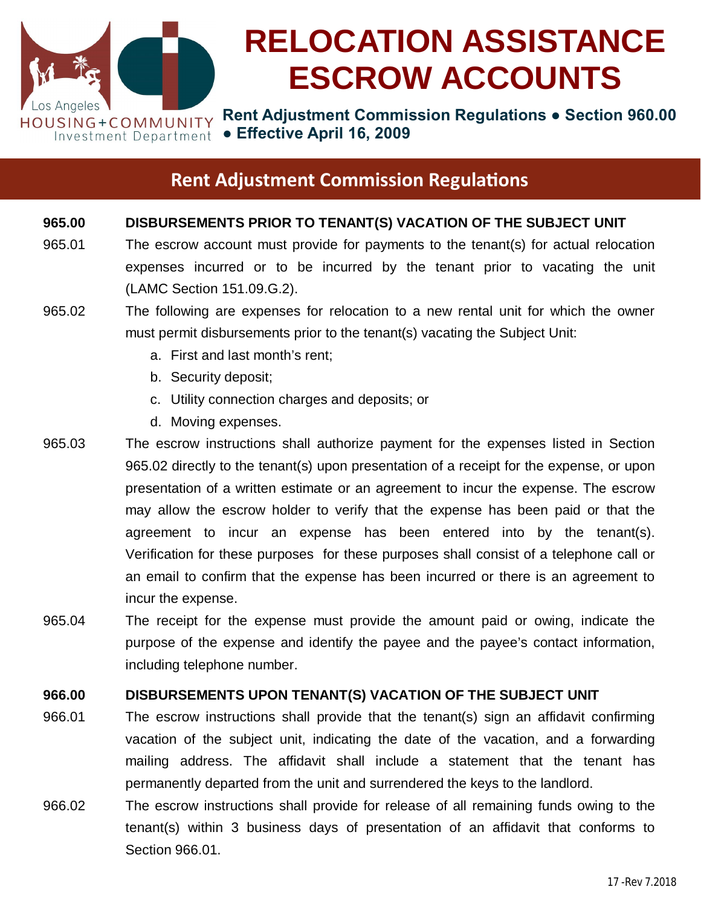

**Rent Adjustment Commission Regulations ● Section 960.00 ● Effective April 16, 2009**

## **Rent Adjustment Commission Regulations**

#### **965.00 DISBURSEMENTS PRIOR TO TENANT(S) VACATION OF THE SUBJECT UNIT**

- 965.01 The escrow account must provide for payments to the tenant(s) for actual relocation expenses incurred or to be incurred by the tenant prior to vacating the unit (LAMC Section 151.09.G.2).
- 965.02 The following are expenses for relocation to a new rental unit for which the owner must permit disbursements prior to the tenant(s) vacating the Subject Unit:
	- a. First and last month's rent;
	- b. Security deposit;
	- c. Utility connection charges and deposits; or
	- d. Moving expenses.
- 965.03 The escrow instructions shall authorize payment for the expenses listed in Section 965.02 directly to the tenant(s) upon presentation of a receipt for the expense, or upon presentation of a written estimate or an agreement to incur the expense. The escrow may allow the escrow holder to verify that the expense has been paid or that the agreement to incur an expense has been entered into by the tenant(s). Verification for these purposes for these purposes shall consist of a telephone call or an email to confirm that the expense has been incurred or there is an agreement to incur the expense.
- 965.04 The receipt for the expense must provide the amount paid or owing, indicate the purpose of the expense and identify the payee and the payee's contact information, including telephone number.

#### **966.00 DISBURSEMENTS UPON TENANT(S) VACATION OF THE SUBJECT UNIT**

- 966.01 The escrow instructions shall provide that the tenant(s) sign an affidavit confirming vacation of the subject unit, indicating the date of the vacation, and a forwarding mailing address. The affidavit shall include a statement that the tenant has permanently departed from the unit and surrendered the keys to the landlord.
- 966.02 The escrow instructions shall provide for release of all remaining funds owing to the tenant(s) within 3 business days of presentation of an affidavit that conforms to Section 966.01.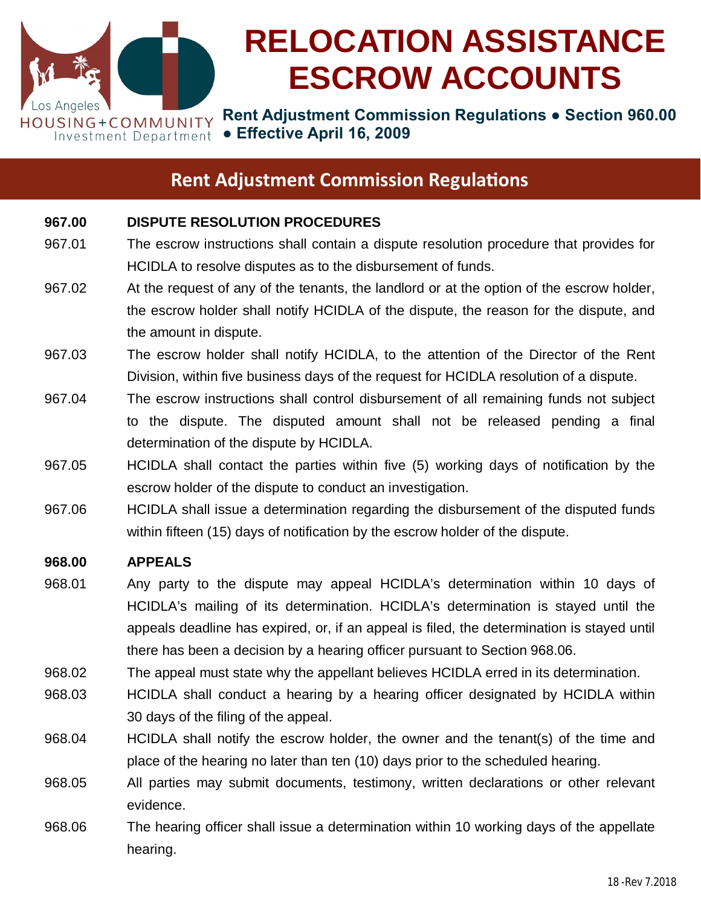

**Rent Adjustment Commission Regulations ● Section 960.00 ● Effective April 16, 2009**

## **Rent Adjustment Commission Regulations**

#### **967.00 DISPUTE RESOLUTION PROCEDURES**

- 967.01 The escrow instructions shall contain a dispute resolution procedure that provides for HCIDLA to resolve disputes as to the disbursement of funds.
- 967.02 At the request of any of the tenants, the landlord or at the option of the escrow holder, the escrow holder shall notify HCIDLA of the dispute, the reason for the dispute, and the amount in dispute.
- 967.03 The escrow holder shall notify HCIDLA, to the attention of the Director of the Rent Division, within five business days of the request for HCIDLA resolution of a dispute.
- 967.04 The escrow instructions shall control disbursement of all remaining funds not subject to the dispute. The disputed amount shall not be released pending a final determination of the dispute by HCIDLA.
- 967.05 HCIDLA shall contact the parties within five (5) working days of notification by the escrow holder of the dispute to conduct an investigation.
- 967.06 HCIDLA shall issue a determination regarding the disbursement of the disputed funds within fifteen (15) days of notification by the escrow holder of the dispute.

#### **968.00 APPEALS**

- 968.01 Any party to the dispute may appeal HCIDLA's determination within 10 days of HCIDLA's mailing of its determination. HCIDLA's determination is stayed until the appeals deadline has expired, or, if an appeal is filed, the determination is stayed until there has been a decision by a hearing officer pursuant to Section 968.06.
- 968.02 The appeal must state why the appellant believes HCIDLA erred in its determination.
- 968.03 HCIDLA shall conduct a hearing by a hearing officer designated by HCIDLA within 30 days of the filing of the appeal.
- 968.04 HCIDLA shall notify the escrow holder, the owner and the tenant(s) of the time and place of the hearing no later than ten (10) days prior to the scheduled hearing.
- 968.05 All parties may submit documents, testimony, written declarations or other relevant evidence.
- 968.06 The hearing officer shall issue a determination within 10 working days of the appellate hearing.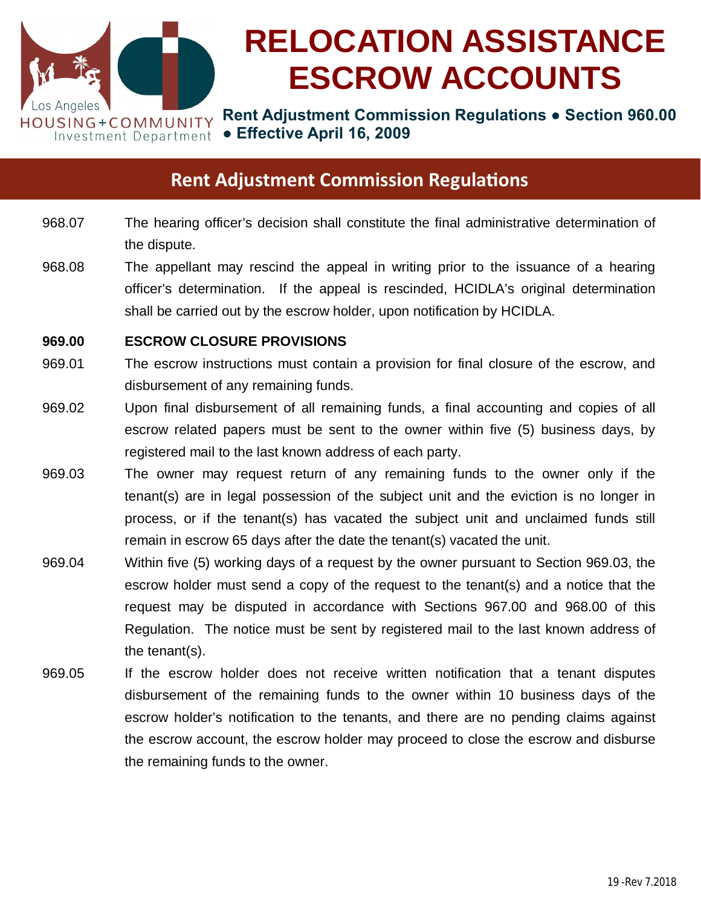

**Rent Adjustment Commission Regulations ● Section 960.00 ● Effective April 16, 2009**

### **Rent Adjustment Commission Regulations**

- 968.07 The hearing officer's decision shall constitute the final administrative determination of the dispute.
- 968.08 The appellant may rescind the appeal in writing prior to the issuance of a hearing officer's determination. If the appeal is rescinded, HCIDLA's original determination shall be carried out by the escrow holder, upon notification by HCIDLA.

#### **969.00 ESCROW CLOSURE PROVISIONS**

- 969.01 The escrow instructions must contain a provision for final closure of the escrow, and disbursement of any remaining funds.
- 969.02 Upon final disbursement of all remaining funds, a final accounting and copies of all escrow related papers must be sent to the owner within five (5) business days, by registered mail to the last known address of each party.
- 969.03 The owner may request return of any remaining funds to the owner only if the tenant(s) are in legal possession of the subject unit and the eviction is no longer in process, or if the tenant(s) has vacated the subject unit and unclaimed funds still remain in escrow 65 days after the date the tenant(s) vacated the unit.
- 969.04 Within five (5) working days of a request by the owner pursuant to Section 969.03, the escrow holder must send a copy of the request to the tenant(s) and a notice that the request may be disputed in accordance with Sections 967.00 and 968.00 of this Regulation. The notice must be sent by registered mail to the last known address of the tenant(s).
- 969.05 If the escrow holder does not receive written notification that a tenant disputes disbursement of the remaining funds to the owner within 10 business days of the escrow holder's notification to the tenants, and there are no pending claims against the escrow account, the escrow holder may proceed to close the escrow and disburse the remaining funds to the owner.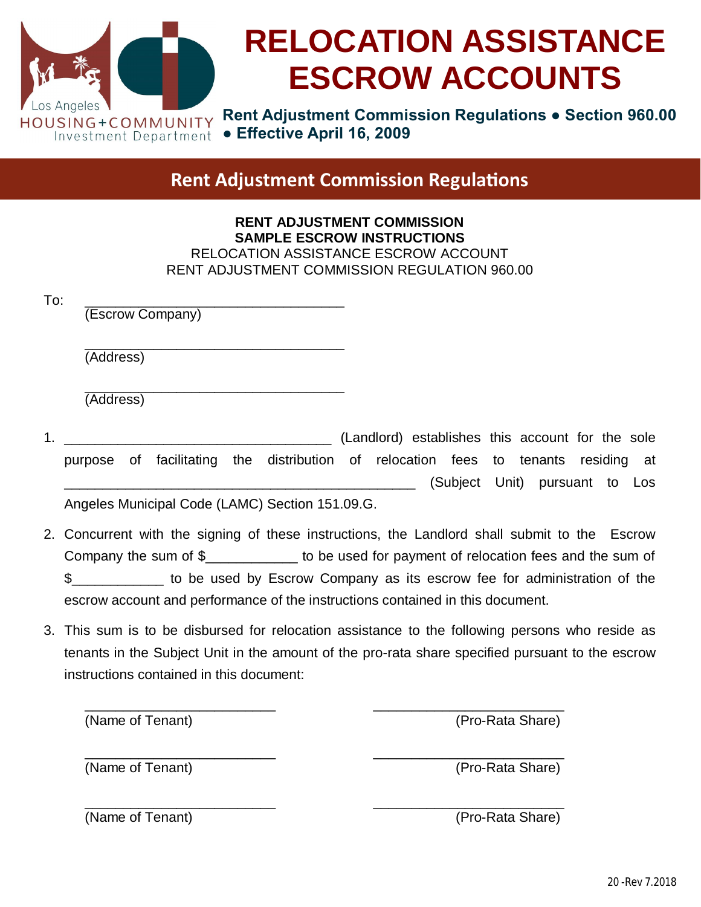

### **Rent Adjustment Commission Regulations**

#### **RENT ADJUSTMENT COMMISSION SAMPLE ESCROW INSTRUCTIONS** RELOCATION ASSISTANCE ESCROW ACCOUNT RENT ADJUSTMENT COMMISSION REGULATION 960.00

| To: |                  |                  |  |
|-----|------------------|------------------|--|
|     | (Escrow Company) |                  |  |
|     |                  |                  |  |
|     | (Address)        |                  |  |
|     | (Address)        |                  |  |
|     |                  |                  |  |
|     |                  | (Landlord) estab |  |

- lishes this account for the sole purpose of facilitating the distribution of relocation fees to tenants residing at \_\_\_\_\_\_\_\_\_\_\_\_\_\_\_\_\_\_\_\_\_\_\_\_\_\_\_\_\_\_\_\_\_\_\_\_\_\_\_\_\_\_\_\_\_\_ (Subject Unit) pursuant to Los Angeles Municipal Code (LAMC) Section 151.09.G.
- 2. Concurrent with the signing of these instructions, the Landlord shall submit to the Escrow Company the sum of \$ to be used for payment of relocation fees and the sum of \$\_\_\_\_\_\_\_\_\_\_\_\_ to be used by Escrow Company as its escrow fee for administration of the escrow account and performance of the instructions contained in this document.
- 3. This sum is to be disbursed for relocation assistance to the following persons who reside as tenants in the Subject Unit in the amount of the pro-rata share specified pursuant to the escrow instructions contained in this document:

| (Name of Tenant) | (Pro-Rata Share) |
|------------------|------------------|
| (Name of Tenant) | (Pro-Rata Share) |
| (Name of Tenant) | (Pro-Rata Share) |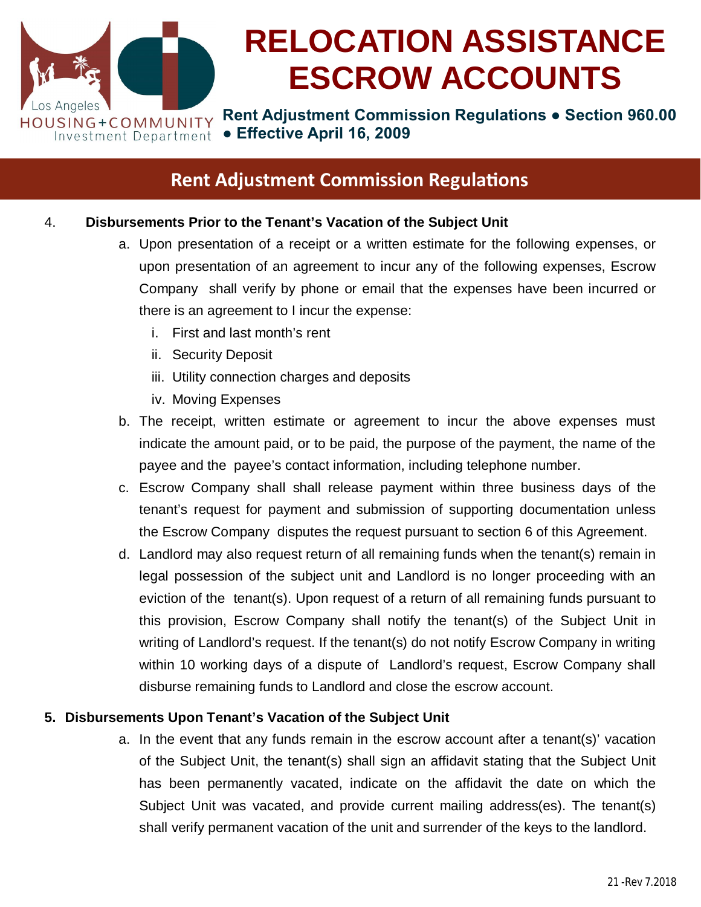

**Rent Adjustment Commission Regulations ● Section 960.00 ● Effective April 16, 2009**

### **Rent Adjustment Commission Regulations**

#### 4. **Disbursements Prior to the Tenant's Vacation of the Subject Unit**

- a. Upon presentation of a receipt or a written estimate for the following expenses, or upon presentation of an agreement to incur any of the following expenses, Escrow Company shall verify by phone or email that the expenses have been incurred or there is an agreement to I incur the expense:
	- i. First and last month's rent
	- ii. Security Deposit
	- iii. Utility connection charges and deposits
	- iv. Moving Expenses
- b. The receipt, written estimate or agreement to incur the above expenses must indicate the amount paid, or to be paid, the purpose of the payment, the name of the payee and the payee's contact information, including telephone number.
- c. Escrow Company shall shall release payment within three business days of the tenant's request for payment and submission of supporting documentation unless the Escrow Company disputes the request pursuant to section 6 of this Agreement.
- d. Landlord may also request return of all remaining funds when the tenant(s) remain in legal possession of the subject unit and Landlord is no longer proceeding with an eviction of the tenant(s). Upon request of a return of all remaining funds pursuant to this provision, Escrow Company shall notify the tenant(s) of the Subject Unit in writing of Landlord's request. If the tenant(s) do not notify Escrow Company in writing within 10 working days of a dispute of Landlord's request, Escrow Company shall disburse remaining funds to Landlord and close the escrow account.

#### **5. Disbursements Upon Tenant's Vacation of the Subject Unit**

a. In the event that any funds remain in the escrow account after a tenant(s)' vacation of the Subject Unit, the tenant(s) shall sign an affidavit stating that the Subject Unit has been permanently vacated, indicate on the affidavit the date on which the Subject Unit was vacated, and provide current mailing address(es). The tenant(s) shall verify permanent vacation of the unit and surrender of the keys to the landlord.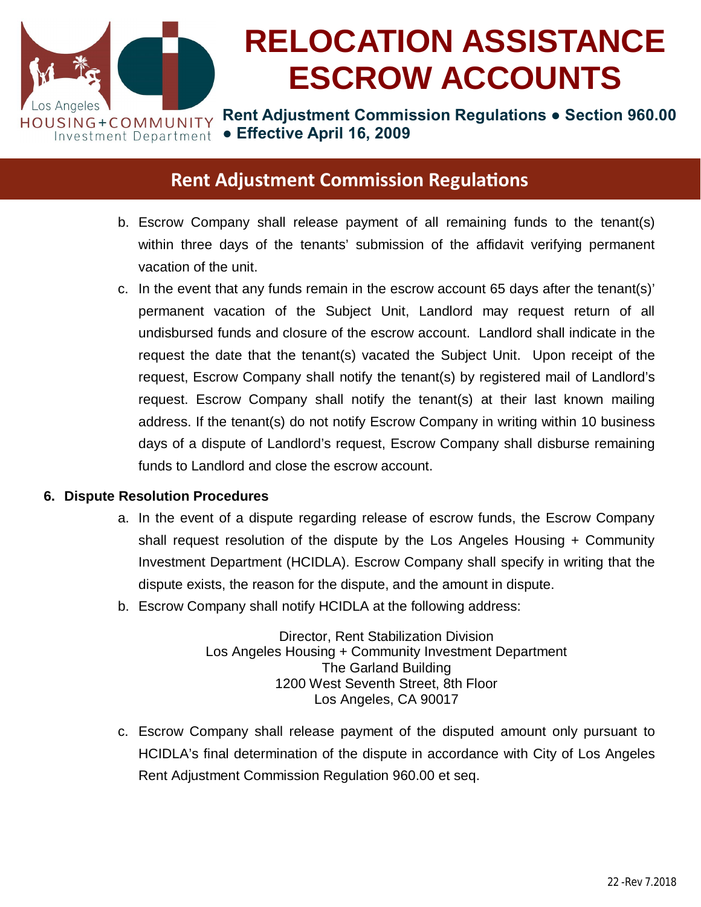

**Rent Adjustment Commission Regulations ● Section 960.00 ● Effective April 16, 2009**

## **Rent Adjustment Commission Regulations**

- b. Escrow Company shall release payment of all remaining funds to the tenant(s) within three days of the tenants' submission of the affidavit verifying permanent vacation of the unit.
- c. In the event that any funds remain in the escrow account 65 days after the tenant(s)' permanent vacation of the Subject Unit, Landlord may request return of all undisbursed funds and closure of the escrow account. Landlord shall indicate in the request the date that the tenant(s) vacated the Subject Unit. Upon receipt of the request, Escrow Company shall notify the tenant(s) by registered mail of Landlord's request. Escrow Company shall notify the tenant(s) at their last known mailing address. If the tenant(s) do not notify Escrow Company in writing within 10 business days of a dispute of Landlord's request, Escrow Company shall disburse remaining funds to Landlord and close the escrow account.

#### **6. Dispute Resolution Procedures**

- a. In the event of a dispute regarding release of escrow funds, the Escrow Company shall request resolution of the dispute by the Los Angeles Housing + Community Investment Department (HCIDLA). Escrow Company shall specify in writing that the dispute exists, the reason for the dispute, and the amount in dispute.
- b. Escrow Company shall notify HCIDLA at the following address:

Director, Rent Stabilization Division Los Angeles Housing + Community Investment Department The Garland Building 1200 West Seventh Street, 8th Floor Los Angeles, CA 90017

c. Escrow Company shall release payment of the disputed amount only pursuant to HCIDLA's final determination of the dispute in accordance with City of Los Angeles Rent Adjustment Commission Regulation 960.00 et seq.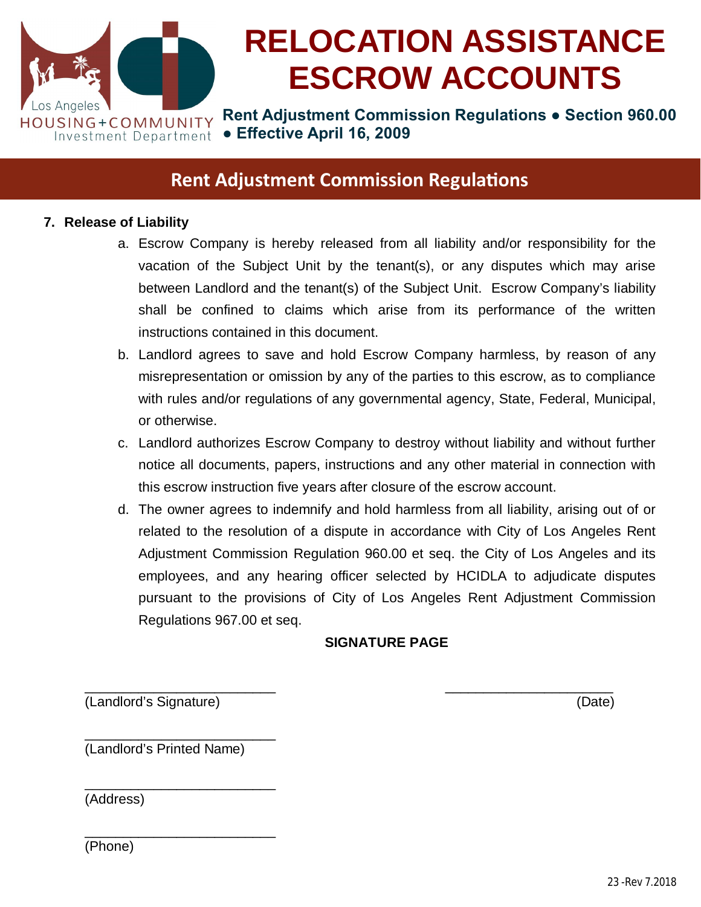

**Rent Adjustment Commission Regulations ● Section 960.00 ● Effective April 16, 2009**

## **Rent Adjustment Commission Regulations**

#### **7. Release of Liability**

- a. Escrow Company is hereby released from all liability and/or responsibility for the vacation of the Subject Unit by the tenant(s), or any disputes which may arise between Landlord and the tenant(s) of the Subject Unit. Escrow Company's liability shall be confined to claims which arise from its performance of the written instructions contained in this document.
- b. Landlord agrees to save and hold Escrow Company harmless, by reason of any misrepresentation or omission by any of the parties to this escrow, as to compliance with rules and/or regulations of any governmental agency, State, Federal, Municipal, or otherwise.
- c. Landlord authorizes Escrow Company to destroy without liability and without further notice all documents, papers, instructions and any other material in connection with this escrow instruction five years after closure of the escrow account.
- d. The owner agrees to indemnify and hold harmless from all liability, arising out of or related to the resolution of a dispute in accordance with City of Los Angeles Rent Adjustment Commission Regulation 960.00 et seq. the City of Los Angeles and its employees, and any hearing officer selected by HCIDLA to adjudicate disputes pursuant to the provisions of City of Los Angeles Rent Adjustment Commission Regulations 967.00 et seq.

#### **SIGNATURE PAGE**

\_\_\_\_\_\_\_\_\_\_\_\_\_\_\_\_\_\_\_\_\_\_\_\_\_ \_\_\_\_\_\_\_\_\_\_\_\_\_\_\_\_\_\_\_\_\_\_ (Landlord's Signature) (Date)

\_\_\_\_\_\_\_\_\_\_\_\_\_\_\_\_\_\_\_\_\_\_\_\_\_ (Landlord's Printed Name)

\_\_\_\_\_\_\_\_\_\_\_\_\_\_\_\_\_\_\_\_\_\_\_\_\_

\_\_\_\_\_\_\_\_\_\_\_\_\_\_\_\_\_\_\_\_\_\_\_\_\_

(Address)

(Phone)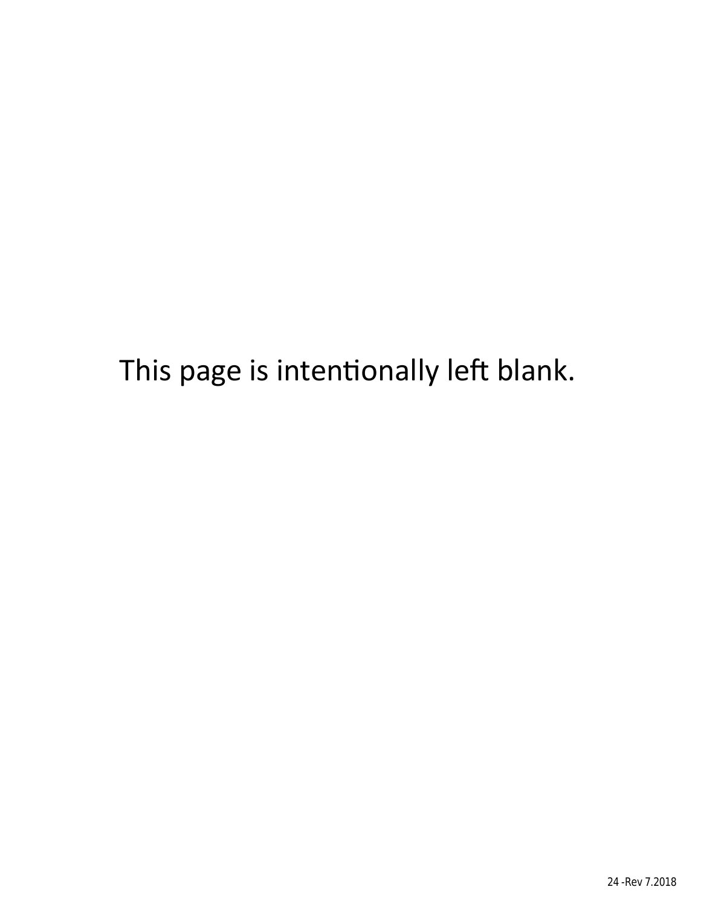This page is intentionally left blank.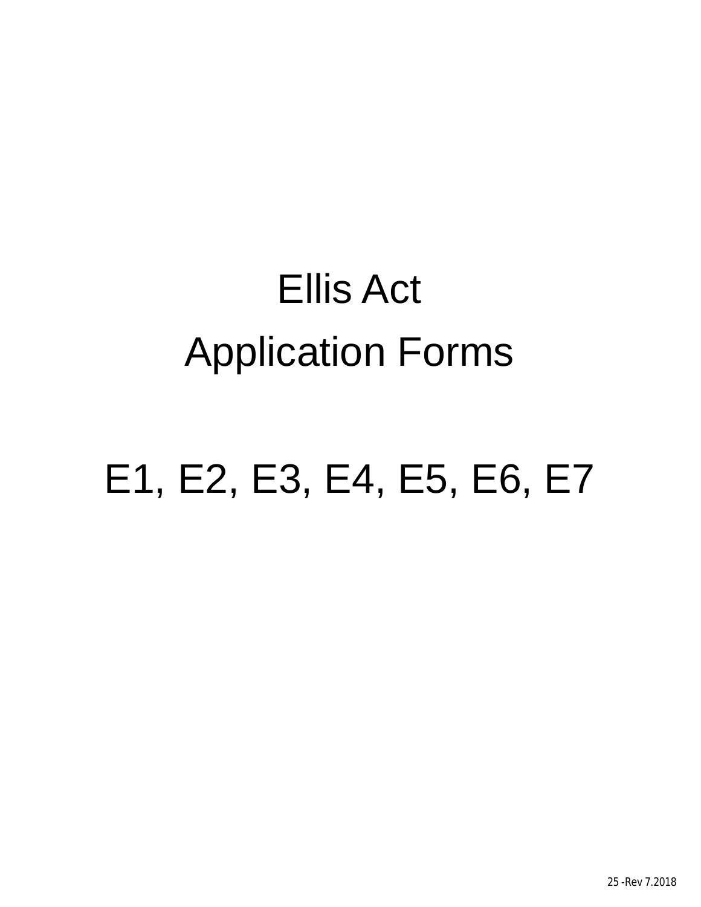# Ellis Act Application Forms

# E1, E2, E3, E4, E5, E6, E7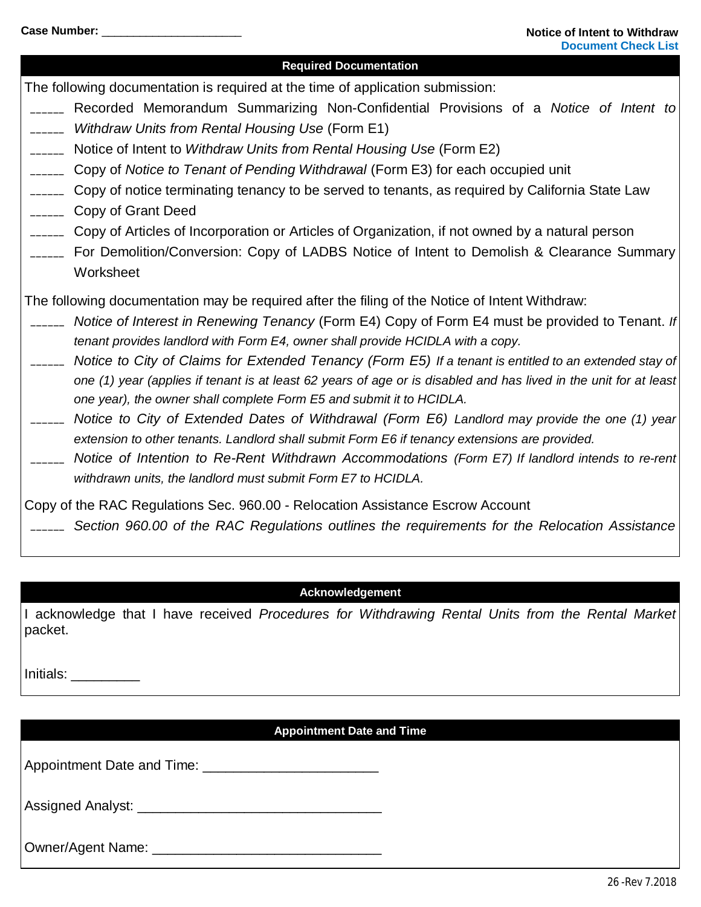| <b>Required Documentation</b>                                                                                                                                                                   |
|-------------------------------------------------------------------------------------------------------------------------------------------------------------------------------------------------|
| The following documentation is required at the time of application submission:                                                                                                                  |
| Recorded Memorandum Summarizing Non-Confidential Provisions of a Notice of Intent to<br><u> 1999 - Jan Jan Jawa</u>                                                                             |
| Withdraw Units from Rental Housing Use (Form E1)<br>$\overline{\phantom{a}}$                                                                                                                    |
| Notice of Intent to Withdraw Units from Rental Housing Use (Form E2)<br><u> 1999 - Jan Ja</u>                                                                                                   |
| Copy of Notice to Tenant of Pending Withdrawal (Form E3) for each occupied unit                                                                                                                 |
| Copy of notice terminating tenancy to be served to tenants, as required by California State Law<br>$\overline{\phantom{a}}$                                                                     |
| Copy of Grant Deed<br>$\overline{\phantom{a}}$                                                                                                                                                  |
| Copy of Articles of Incorporation or Articles of Organization, if not owned by a natural person<br>$\overline{\phantom{a}}$                                                                     |
| For Demolition/Conversion: Copy of LADBS Notice of Intent to Demolish & Clearance Summary                                                                                                       |
| Worksheet                                                                                                                                                                                       |
| The following documentation may be required after the filing of the Notice of Intent Withdraw:                                                                                                  |
| Notice of Interest in Renewing Tenancy (Form E4) Copy of Form E4 must be provided to Tenant. If                                                                                                 |
| tenant provides landlord with Form E4, owner shall provide HCIDLA with a copy.                                                                                                                  |
| Notice to City of Claims for Extended Tenancy (Form E5) If a tenant is entitled to an extended stay of                                                                                          |
| one (1) year (applies if tenant is at least 62 years of age or is disabled and has lived in the unit for at least<br>one year), the owner shall complete Form E5 and submit it to HCIDLA.       |
| Notice to City of Extended Dates of Withdrawal (Form E6) Landlord may provide the one (1) year<br>extension to other tenants. Landlord shall submit Form E6 if tenancy extensions are provided. |
| Notice of Intention to Re-Rent Withdrawn Accommodations (Form E7) If landlord intends to re-rent<br>withdrawn units, the landlord must submit Form E7 to HCIDLA.                                |
| Copy of the RAC Regulations Sec. 960.00 - Relocation Assistance Escrow Account<br>Section 960.00 of the RAC Regulations outlines the requirements for the Relocation Assistance                 |

#### **Acknowledgement**

I acknowledge that I have received *Procedures for Withdrawing Rental Units from the Rental Market*  packet.

Initials: \_\_\_\_\_\_\_\_\_

#### **Appointment Date and Time**

Appointment Date and Time: \_\_\_\_\_\_\_\_\_\_\_\_\_\_\_\_\_\_\_\_\_\_\_

Assigned Analyst: \_\_\_\_\_\_\_\_\_\_\_\_\_\_\_\_\_\_\_\_\_\_\_\_\_\_\_\_\_\_\_\_

Owner/Agent Name: \_\_\_\_\_\_\_\_\_\_\_\_\_\_\_\_\_\_\_\_\_\_\_\_\_\_\_\_\_\_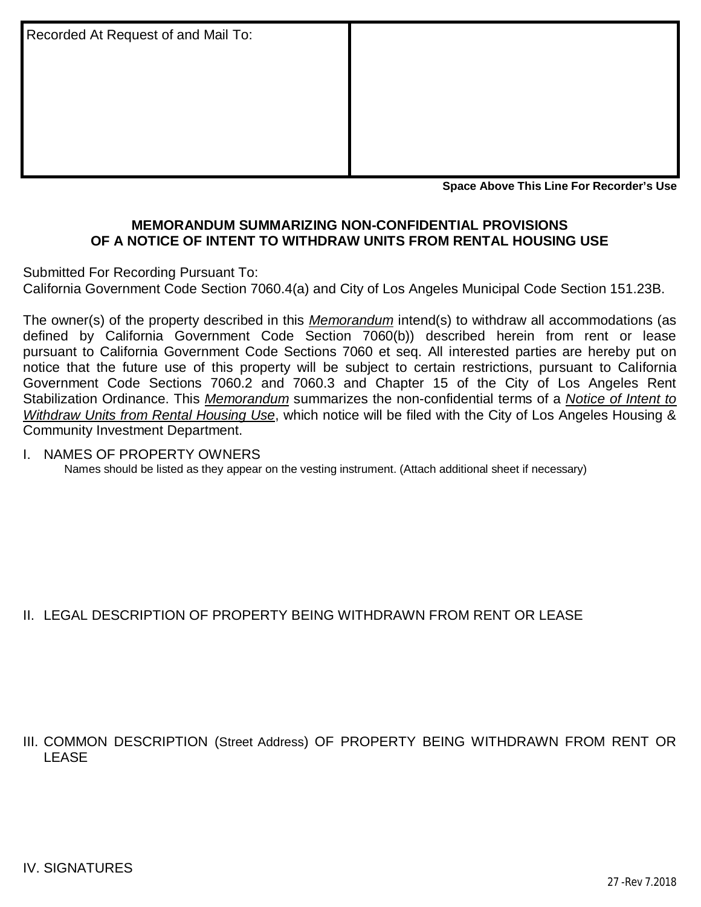| Recorded At Request of and Mail To: |  |
|-------------------------------------|--|
|                                     |  |
|                                     |  |
|                                     |  |
|                                     |  |

**Space Above This Line For Recorder's Use**

#### **MEMORANDUM SUMMARIZING NON-CONFIDENTIAL PROVISIONS OF A NOTICE OF INTENT TO WITHDRAW UNITS FROM RENTAL HOUSING USE**

Submitted For Recording Pursuant To:

California Government Code Section 7060.4(a) and City of Los Angeles Municipal Code Section 151.23B.

The owner(s) of the property described in this *Memorandum* intend(s) to withdraw all accommodations (as defined by California Government Code Section 7060(b)) described herein from rent or lease pursuant to California Government Code Sections 7060 et seq. All interested parties are hereby put on notice that the future use of this property will be subject to certain restrictions, pursuant to California Government Code Sections 7060.2 and 7060.3 and Chapter 15 of the City of Los Angeles Rent Stabilization Ordinance. This *Memorandum* summarizes the non-confidential terms of a *Notice of Intent to Withdraw Units from Rental Housing Use*, which notice will be filed with the City of Los Angeles Housing & Community Investment Department.

#### I. NAMES OF PROPERTY OWNERS Names should be listed as they appear on the vesting instrument. (Attach additional sheet if necessary)

#### II. LEGAL DESCRIPTION OF PROPERTY BEING WITHDRAWN FROM RENT OR LEASE

III. COMMON DESCRIPTION (Street Address) OF PROPERTY BEING WITHDRAWN FROM RENT OR LEASE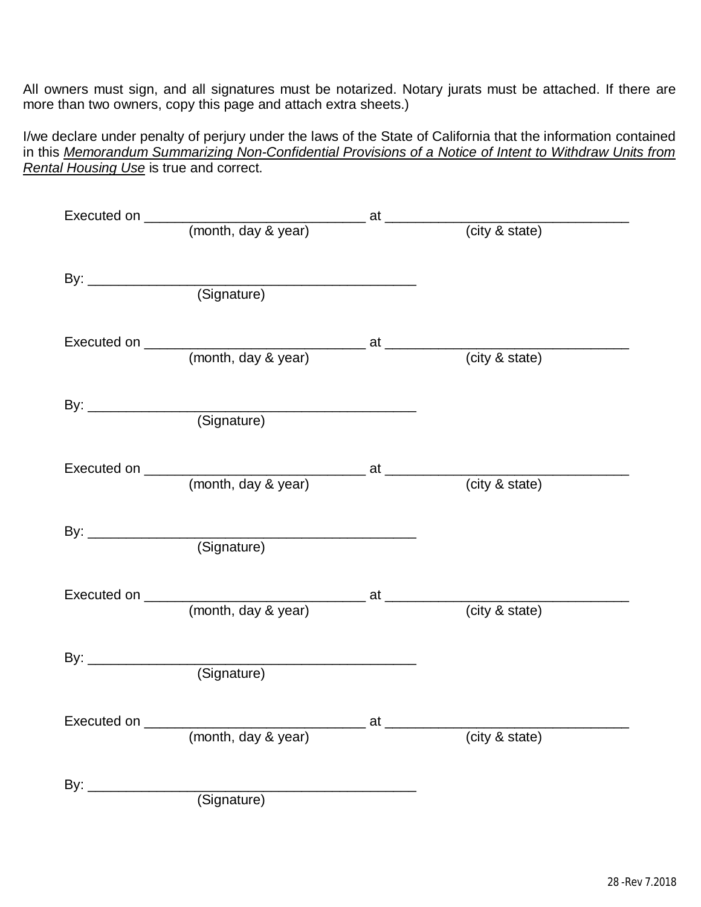All owners must sign, and all signatures must be notarized. Notary jurats must be attached. If there are more than two owners, copy this page and attach extra sheets.)

I/we declare under penalty of perjury under the laws of the State of California that the information contained in this *Memorandum Summarizing Non-Confidential Provisions of a Notice of Intent to Withdraw Units from Rental Housing Use* is true and correct.

|                 | (Signature)            |           |                |  |
|-----------------|------------------------|-----------|----------------|--|
|                 |                        |           |                |  |
|                 |                        |           |                |  |
|                 | (month, day & year)    |           | (city & state) |  |
|                 | By: <u>(Signature)</u> |           |                |  |
|                 | (month, day & year)    |           | (city & state) |  |
|                 | (Signature)            |           |                |  |
| Executed on ___ | (month, day & year)    | $_{a}$ at | (city & state) |  |
| By: $\_\_$      | (Signature)            |           |                |  |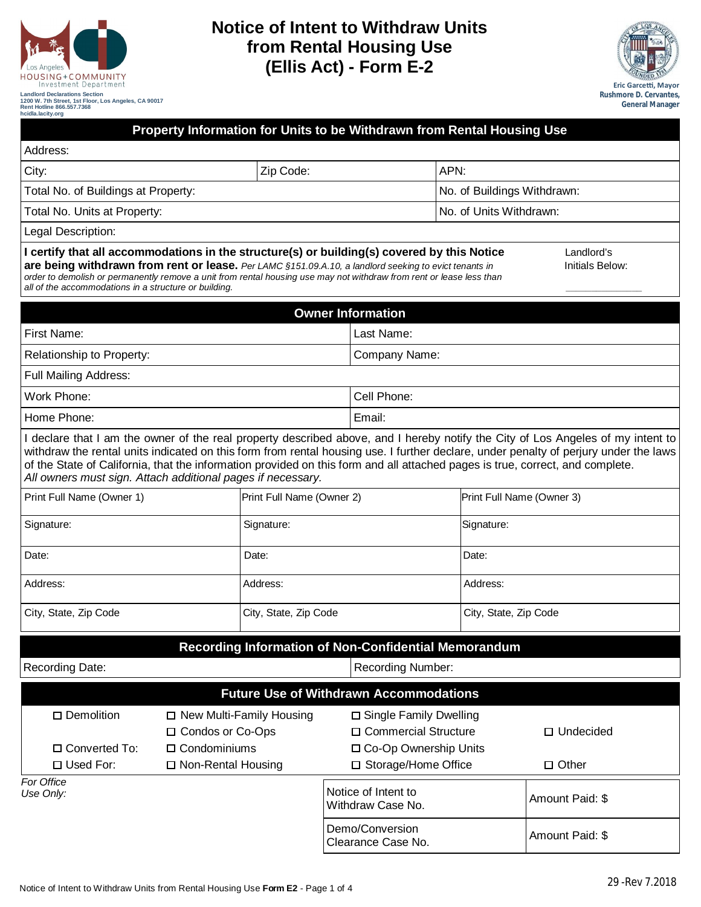

**Landlord Declarations Section 1200 W. 7th Street, 1st Floor, Los Angeles, CA 90017 Rent Hotline 866.557.7368 hcidla.lacity.org**

### **Notice of Intent to Withdraw Units from Rental Housing Use (Ellis Act) - Form E-2**



|                                                                                                                                                                                                                                                                                                                                                                                       |                                                                         |                       | Property Information for Units to be Withdrawn from Rental Housing Use        |                             |                                                                                                                                                                                                                                                                         |
|---------------------------------------------------------------------------------------------------------------------------------------------------------------------------------------------------------------------------------------------------------------------------------------------------------------------------------------------------------------------------------------|-------------------------------------------------------------------------|-----------------------|-------------------------------------------------------------------------------|-----------------------------|-------------------------------------------------------------------------------------------------------------------------------------------------------------------------------------------------------------------------------------------------------------------------|
| Address:                                                                                                                                                                                                                                                                                                                                                                              |                                                                         |                       |                                                                               |                             |                                                                                                                                                                                                                                                                         |
| City:                                                                                                                                                                                                                                                                                                                                                                                 |                                                                         | Zip Code:             |                                                                               | APN:                        |                                                                                                                                                                                                                                                                         |
| Total No. of Buildings at Property:                                                                                                                                                                                                                                                                                                                                                   |                                                                         |                       |                                                                               | No. of Buildings Withdrawn: |                                                                                                                                                                                                                                                                         |
| Total No. Units at Property:                                                                                                                                                                                                                                                                                                                                                          |                                                                         |                       |                                                                               | No. of Units Withdrawn:     |                                                                                                                                                                                                                                                                         |
| Legal Description:                                                                                                                                                                                                                                                                                                                                                                    |                                                                         |                       |                                                                               |                             |                                                                                                                                                                                                                                                                         |
| I certify that all accommodations in the structure(s) or building(s) covered by this Notice<br>are being withdrawn from rent or lease. Per LAMC §151.09.A.10, a landlord seeking to evict tenants in<br>order to demolish or permanently remove a unit from rental housing use may not withdraw from rent or lease less than<br>all of the accommodations in a structure or building. |                                                                         |                       |                                                                               |                             | Landlord's<br>Initials Below:                                                                                                                                                                                                                                           |
|                                                                                                                                                                                                                                                                                                                                                                                       |                                                                         |                       | <b>Owner Information</b>                                                      |                             |                                                                                                                                                                                                                                                                         |
| First Name:                                                                                                                                                                                                                                                                                                                                                                           |                                                                         |                       | Last Name:                                                                    |                             |                                                                                                                                                                                                                                                                         |
| Relationship to Property:                                                                                                                                                                                                                                                                                                                                                             |                                                                         |                       | Company Name:                                                                 |                             |                                                                                                                                                                                                                                                                         |
| <b>Full Mailing Address:</b>                                                                                                                                                                                                                                                                                                                                                          |                                                                         |                       |                                                                               |                             |                                                                                                                                                                                                                                                                         |
| Cell Phone:<br>Work Phone:                                                                                                                                                                                                                                                                                                                                                            |                                                                         |                       |                                                                               |                             |                                                                                                                                                                                                                                                                         |
| Home Phone:<br>Email:                                                                                                                                                                                                                                                                                                                                                                 |                                                                         |                       |                                                                               |                             |                                                                                                                                                                                                                                                                         |
| of the State of California, that the information provided on this form and all attached pages is true, correct, and complete.<br>All owners must sign. Attach additional pages if necessary.                                                                                                                                                                                          |                                                                         |                       |                                                                               |                             | I declare that I am the owner of the real property described above, and I hereby notify the City of Los Angeles of my intent to<br>withdraw the rental units indicated on this form from rental housing use. I further declare, under penalty of perjury under the laws |
| Print Full Name (Owner 1)                                                                                                                                                                                                                                                                                                                                                             |                                                                         |                       | Print Full Name (Owner 2)<br>Print Full Name (Owner 3)                        |                             |                                                                                                                                                                                                                                                                         |
| Signature:                                                                                                                                                                                                                                                                                                                                                                            |                                                                         | Signature:            | Signature:                                                                    |                             |                                                                                                                                                                                                                                                                         |
| Date:                                                                                                                                                                                                                                                                                                                                                                                 |                                                                         | Date:<br>Date:        |                                                                               |                             |                                                                                                                                                                                                                                                                         |
| Address:                                                                                                                                                                                                                                                                                                                                                                              |                                                                         | Address:              | Address:                                                                      |                             |                                                                                                                                                                                                                                                                         |
| City, State, Zip Code                                                                                                                                                                                                                                                                                                                                                                 |                                                                         | City, State, Zip Code | City, State, Zip Code                                                         |                             |                                                                                                                                                                                                                                                                         |
|                                                                                                                                                                                                                                                                                                                                                                                       |                                                                         |                       | Recording Information of Non-Confidential Memorandum                          |                             |                                                                                                                                                                                                                                                                         |
| Recording Date:                                                                                                                                                                                                                                                                                                                                                                       |                                                                         |                       | Recording Number:                                                             |                             |                                                                                                                                                                                                                                                                         |
|                                                                                                                                                                                                                                                                                                                                                                                       |                                                                         |                       | <b>Future Use of Withdrawn Accommodations</b>                                 |                             |                                                                                                                                                                                                                                                                         |
| □ Demolition<br>□ Converted To:                                                                                                                                                                                                                                                                                                                                                       | □ New Multi-Family Housing<br>□ Condos or Co-Ops<br>$\Box$ Condominiums |                       | □ Single Family Dwelling<br>□ Commercial Structure<br>□ Co-Op Ownership Units |                             | $\Box$ Undecided                                                                                                                                                                                                                                                        |
| □ Used For:<br>For Office                                                                                                                                                                                                                                                                                                                                                             | □ Non-Rental Housing                                                    |                       | □ Storage/Home Office                                                         |                             | $\Box$ Other                                                                                                                                                                                                                                                            |
| Use Only:                                                                                                                                                                                                                                                                                                                                                                             |                                                                         |                       | Notice of Intent to<br>Withdraw Case No.                                      |                             | Amount Paid: \$                                                                                                                                                                                                                                                         |
|                                                                                                                                                                                                                                                                                                                                                                                       |                                                                         |                       | Demo/Conversion<br>Clearance Case No.                                         |                             | Amount Paid: \$                                                                                                                                                                                                                                                         |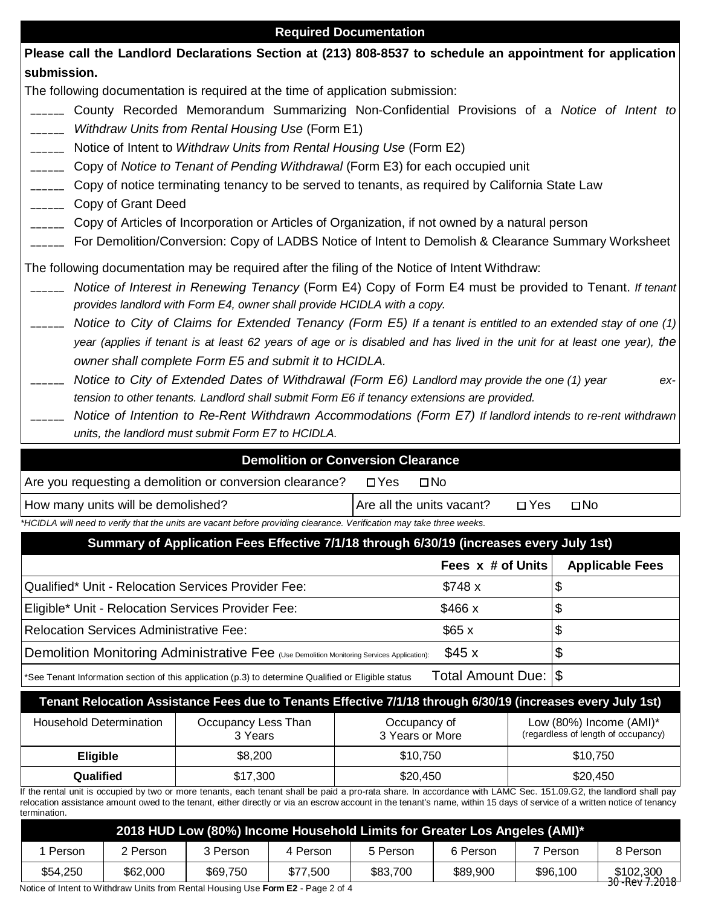| <b>Required Documentation</b>                                                                                                                                                                                                                                                                                                                                                                                                                                                                                                                                                                                                                                                                                                                                                                                                                                                                                                                                          |
|------------------------------------------------------------------------------------------------------------------------------------------------------------------------------------------------------------------------------------------------------------------------------------------------------------------------------------------------------------------------------------------------------------------------------------------------------------------------------------------------------------------------------------------------------------------------------------------------------------------------------------------------------------------------------------------------------------------------------------------------------------------------------------------------------------------------------------------------------------------------------------------------------------------------------------------------------------------------|
| Please call the Landlord Declarations Section at (213) 808-8537 to schedule an appointment for application                                                                                                                                                                                                                                                                                                                                                                                                                                                                                                                                                                                                                                                                                                                                                                                                                                                             |
| submission.                                                                                                                                                                                                                                                                                                                                                                                                                                                                                                                                                                                                                                                                                                                                                                                                                                                                                                                                                            |
| The following documentation is required at the time of application submission:                                                                                                                                                                                                                                                                                                                                                                                                                                                                                                                                                                                                                                                                                                                                                                                                                                                                                         |
| County Recorded Memorandum Summarizing Non-Confidential Provisions of a Notice of Intent to<br>$\sim 100$<br>Withdraw Units from Rental Housing Use (Form E1)<br>$\sim$ 100 $\sim$                                                                                                                                                                                                                                                                                                                                                                                                                                                                                                                                                                                                                                                                                                                                                                                     |
| Notice of Intent to Withdraw Units from Rental Housing Use (Form E2)<br><b>Contract Contract</b>                                                                                                                                                                                                                                                                                                                                                                                                                                                                                                                                                                                                                                                                                                                                                                                                                                                                       |
| Copy of Notice to Tenant of Pending Withdrawal (Form E3) for each occupied unit<br>$\mathcal{L}^{\text{max}}(\mathcal{L}^{\text{max}})$                                                                                                                                                                                                                                                                                                                                                                                                                                                                                                                                                                                                                                                                                                                                                                                                                                |
| Copy of notice terminating tenancy to be served to tenants, as required by California State Law<br>Copy of Grant Deed                                                                                                                                                                                                                                                                                                                                                                                                                                                                                                                                                                                                                                                                                                                                                                                                                                                  |
| Copy of Articles of Incorporation or Articles of Organization, if not owned by a natural person                                                                                                                                                                                                                                                                                                                                                                                                                                                                                                                                                                                                                                                                                                                                                                                                                                                                        |
| For Demolition/Conversion: Copy of LADBS Notice of Intent to Demolish & Clearance Summary Worksheet                                                                                                                                                                                                                                                                                                                                                                                                                                                                                                                                                                                                                                                                                                                                                                                                                                                                    |
| The following documentation may be required after the filing of the Notice of Intent Withdraw:<br>Notice of Interest in Renewing Tenancy (Form E4) Copy of Form E4 must be provided to Tenant. If tenant<br>provides landlord with Form E4, owner shall provide HCIDLA with a copy.<br>Notice to City of Claims for Extended Tenancy (Form E5) If a tenant is entitled to an extended stay of one (1)<br>year (applies if tenant is at least 62 years of age or is disabled and has lived in the unit for at least one year), the<br>owner shall complete Form E5 and submit it to HCIDLA.<br>Notice to City of Extended Dates of Withdrawal (Form E6) Landlord may provide the one (1) year<br>ex-<br>tension to other tenants. Landlord shall submit Form E6 if tenancy extensions are provided.<br>Notice of Intention to Re-Rent Withdrawn Accommodations (Form E7) If landlord intends to re-rent withdrawn<br>units, the landlord must submit Form E7 to HCIDLA. |
| <b>Demolition or Conversion Clearance</b>                                                                                                                                                                                                                                                                                                                                                                                                                                                                                                                                                                                                                                                                                                                                                                                                                                                                                                                              |
| Are you requesting a demolition or conversion clearance?<br>$\square$ No<br>$\Box$ Yes                                                                                                                                                                                                                                                                                                                                                                                                                                                                                                                                                                                                                                                                                                                                                                                                                                                                                 |

| How many units will be demolished? | Are all the units vacant? | $\square$ Yes | $\square$ No |
|------------------------------------|---------------------------|---------------|--------------|
|                                    |                           |               |              |

|--|

| Summary of Application Fees Effective 7/1/18 through 6/30/19 (increases every July 1st)             |                       |                        |
|-----------------------------------------------------------------------------------------------------|-----------------------|------------------------|
|                                                                                                     | Fees x # of Units     | <b>Applicable Fees</b> |
| Qualified* Unit - Relocation Services Provider Fee:                                                 | \$748 x               |                        |
| Eligible* Unit - Relocation Services Provider Fee:                                                  | \$466 x               |                        |
| Relocation Services Administrative Fee:                                                             | \$65x                 |                        |
| Demolition Monitoring Administrative Fee (Use Demolition Monitoring Services Application):          | \$45x                 |                        |
| *See Tenant Information section of this application (p.3) to determine Qualified or Eligible status | Total Amount Due:  \$ |                        |

| Tenant Relocation Assistance Fees due to Tenants Effective 7/1/18 through 6/30/19 (increases every July 1st) |                                |                                 |                                                                |  |
|--------------------------------------------------------------------------------------------------------------|--------------------------------|---------------------------------|----------------------------------------------------------------|--|
| Household Determination                                                                                      | Occupancy Less Than<br>3 Years | Occupancy of<br>3 Years or More | Low (80%) Income (AMI)*<br>(regardless of length of occupancy) |  |
| <b>Eligible</b>                                                                                              | \$8,200                        | \$10,750                        | \$10,750                                                       |  |
| Qualified                                                                                                    | \$17,300                       | \$20,450                        | \$20,450                                                       |  |

If the rental unit is occupied by two or more tenants, each tenant shall be paid a pro-rata share. In accordance with LAMC Sec. 151.09.G2, the landlord shall pay relocation assistance amount owed to the tenant, either directly or via an escrow account in the tenant's name, within 15 days of service of a written notice of tenancy termination.

| 2018 HUD Low (80%) Income Household Limits for Greater Los Angeles (AMI)* |                                                                                           |          |          |          |          |          |                             |  |
|---------------------------------------------------------------------------|-------------------------------------------------------------------------------------------|----------|----------|----------|----------|----------|-----------------------------|--|
| 1 Person.                                                                 | 2 Person                                                                                  | 3 Person | 4 Person | 5 Person | 6 Person | 7 Person | 8 Person                    |  |
| \$54,250                                                                  | \$62,000                                                                                  | \$69,750 | \$77.500 | \$83,700 | \$89,900 | \$96,100 | \$102,300                   |  |
|                                                                           | lotice of Intent to Withdraw Linite from Rental Housing Lise <b>Form F2</b> - Rage 2 of 4 |          |          |          |          |          | <del>30 -Rev 7.2018 '</del> |  |

Notice of Intent to Withdraw Units from Rental Housing Use **Form E2** - Page 2 of 4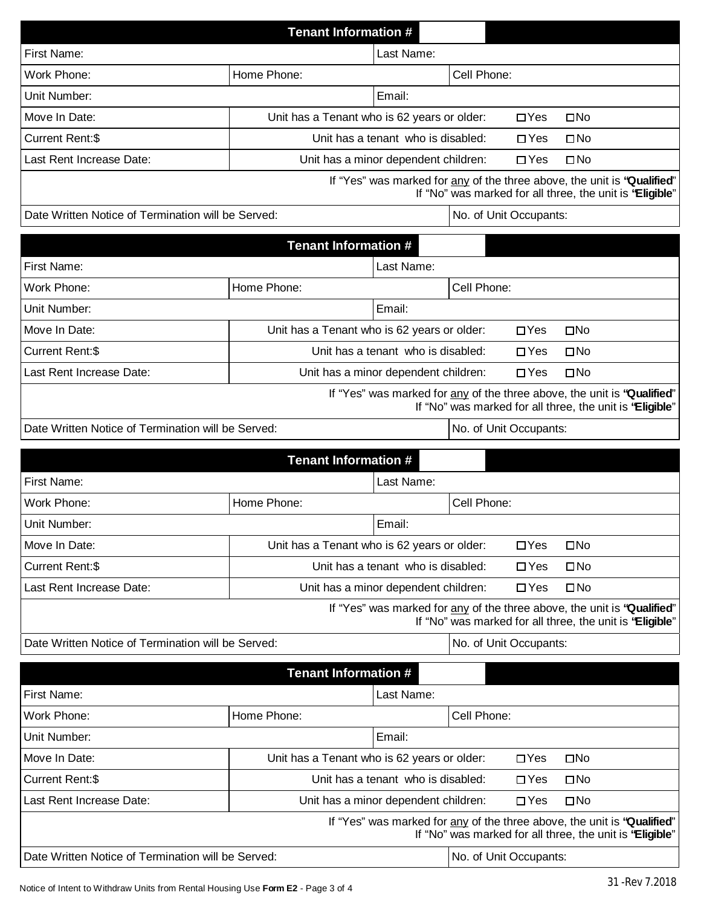|                                                    | <b>Tenant Information #</b>                                                                                                         |                                      |             |                        |                                                                                                                                     |  |  |
|----------------------------------------------------|-------------------------------------------------------------------------------------------------------------------------------------|--------------------------------------|-------------|------------------------|-------------------------------------------------------------------------------------------------------------------------------------|--|--|
| First Name:                                        |                                                                                                                                     | Last Name:                           |             |                        |                                                                                                                                     |  |  |
| Work Phone:                                        | Home Phone:                                                                                                                         |                                      |             |                        |                                                                                                                                     |  |  |
| Unit Number:                                       |                                                                                                                                     | Email:                               |             |                        |                                                                                                                                     |  |  |
| Move In Date:                                      | Unit has a Tenant who is 62 years or older:                                                                                         |                                      |             | $\Box$ Yes             | $\square$ No                                                                                                                        |  |  |
| Current Rent:\$                                    |                                                                                                                                     | Unit has a tenant who is disabled:   |             | $\Box$ Yes             | $\square$ No                                                                                                                        |  |  |
| Last Rent Increase Date:                           |                                                                                                                                     | Unit has a minor dependent children: |             | $\Box$ Yes             | $\square$ No                                                                                                                        |  |  |
|                                                    | If "Yes" was marked for any of the three above, the unit is "Qualified"<br>If "No" was marked for all three, the unit is "Eligible" |                                      |             |                        |                                                                                                                                     |  |  |
| Date Written Notice of Termination will be Served: |                                                                                                                                     |                                      |             | No. of Unit Occupants: |                                                                                                                                     |  |  |
|                                                    | <b>Tenant Information #</b>                                                                                                         |                                      |             |                        |                                                                                                                                     |  |  |
| First Name:                                        |                                                                                                                                     | Last Name:                           |             |                        |                                                                                                                                     |  |  |
| Work Phone:                                        | Home Phone:                                                                                                                         |                                      | Cell Phone: |                        |                                                                                                                                     |  |  |
| Unit Number:                                       |                                                                                                                                     | Email:                               |             |                        |                                                                                                                                     |  |  |
| Move In Date:                                      | Unit has a Tenant who is 62 years or older:                                                                                         |                                      |             | $\Box$ Yes             | $\square$ No                                                                                                                        |  |  |
| Current Rent:\$                                    |                                                                                                                                     | Unit has a tenant who is disabled:   |             | $\Box$ Yes             | $\square$ No                                                                                                                        |  |  |
| Last Rent Increase Date:                           |                                                                                                                                     | Unit has a minor dependent children: |             | $\Box$ Yes             | $\square$ No                                                                                                                        |  |  |
|                                                    |                                                                                                                                     |                                      |             |                        | If "Yes" was marked for any of the three above, the unit is "Qualified"<br>If "No" was marked for all three, the unit is "Eligible" |  |  |
| Date Written Notice of Termination will be Served: |                                                                                                                                     |                                      |             | No. of Unit Occupants: |                                                                                                                                     |  |  |
|                                                    | <b>Tenant Information #</b>                                                                                                         |                                      |             |                        |                                                                                                                                     |  |  |
| <b>First Name:</b>                                 |                                                                                                                                     | Last Name:                           |             |                        |                                                                                                                                     |  |  |
| Work Phone:                                        | Home Phone:                                                                                                                         |                                      | Cell Phone: |                        |                                                                                                                                     |  |  |
| Unit Number:                                       |                                                                                                                                     | Email:                               |             |                        |                                                                                                                                     |  |  |
| Move In Date:                                      | Unit has a Tenant who is 62 years or older:                                                                                         |                                      |             | $\Box$ Yes             | $\square$ No                                                                                                                        |  |  |
| Current Rent:\$                                    |                                                                                                                                     | Unit has a tenant who is disabled:   |             | $\Box$ Yes             | $\square$ No                                                                                                                        |  |  |
| Last Rent Increase Date:                           |                                                                                                                                     | Unit has a minor dependent children: |             | $\Box$ Yes             | $\square$ No                                                                                                                        |  |  |
|                                                    |                                                                                                                                     |                                      |             |                        | If "Yes" was marked for any of the three above, the unit is "Qualified"<br>If "No" was marked for all three, the unit is "Eligible" |  |  |
| Date Written Notice of Termination will be Served: |                                                                                                                                     |                                      |             | No. of Unit Occupants: |                                                                                                                                     |  |  |
|                                                    | <b>Tenant Information #</b>                                                                                                         |                                      |             |                        |                                                                                                                                     |  |  |
| First Name:                                        |                                                                                                                                     | Last Name:                           |             |                        |                                                                                                                                     |  |  |
| Work Phone:                                        | Home Phone:                                                                                                                         |                                      | Cell Phone: |                        |                                                                                                                                     |  |  |
| Unit Number:                                       |                                                                                                                                     | Email:                               |             |                        |                                                                                                                                     |  |  |
| Move In Date:                                      | Unit has a Tenant who is 62 years or older:                                                                                         |                                      |             | $\Box$ Yes             | $\square$ No                                                                                                                        |  |  |
| Current Rent:\$                                    | Unit has a tenant who is disabled:<br>$\Box$ Yes<br>$\square$ No                                                                    |                                      |             |                        |                                                                                                                                     |  |  |
| Last Rent Increase Date:                           | Unit has a minor dependent children:<br>$\square$ Yes<br>$\square$ No                                                               |                                      |             |                        |                                                                                                                                     |  |  |
|                                                    |                                                                                                                                     |                                      |             |                        | If "Yes" was marked for any of the three above, the unit is "Qualified"<br>If "No" was marked for all three, the unit is "Eligible" |  |  |

Date Written Notice of Termination will be Served: No. of Unit Occupants: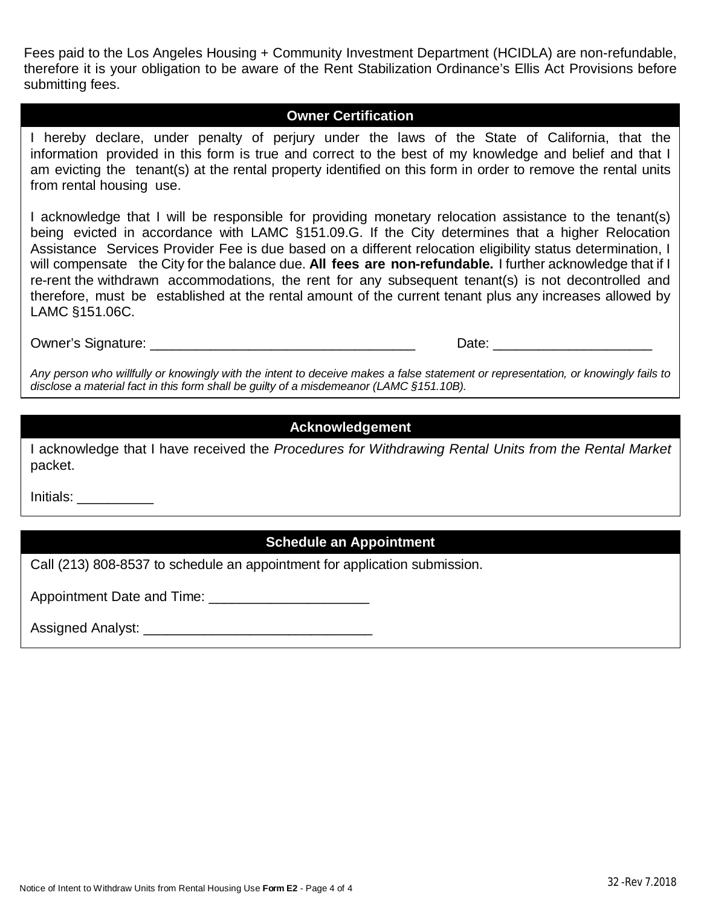Fees paid to the Los Angeles Housing + Community Investment Department (HCIDLA) are non-refundable, therefore it is your obligation to be aware of the Rent Stabilization Ordinance's Ellis Act Provisions before submitting fees.

#### **Owner Certification**

I hereby declare, under penalty of perjury under the laws of the State of California, that the information provided in this form is true and correct to the best of my knowledge and belief and that I am evicting the tenant(s) at the rental property identified on this form in order to remove the rental units from rental housing use.

I acknowledge that I will be responsible for providing monetary relocation assistance to the tenant(s) being evicted in accordance with LAMC §151.09.G. If the City determines that a higher Relocation Assistance Services Provider Fee is due based on a different relocation eligibility status determination, I will compensate the City for the balance due. **All fees are non-refundable.** I further acknowledge that if I re-rent the withdrawn accommodations, the rent for any subsequent tenant(s) is not decontrolled and therefore, must be established at the rental amount of the current tenant plus any increases allowed by LAMC §151.06C.

Owner's Signature: \_\_\_\_\_\_\_\_\_\_\_\_\_\_\_\_\_\_\_\_\_\_\_\_\_\_\_\_\_\_\_\_\_\_\_ Date: \_\_\_\_\_\_\_\_\_\_\_\_\_\_\_\_\_\_\_\_\_

*Any person who willfully or knowingly with the intent to deceive makes a false statement or representation, or knowingly fails to disclose a material fact in this form shall be guilty of a misdemeanor (LAMC §151.10B).*

#### **Acknowledgement**

I acknowledge that I have received the *Procedures for Withdrawing Rental Units from the Rental Market*  packet.

Initials: \_\_\_\_\_\_\_\_\_\_

#### **Schedule an Appointment**

Call (213) 808-8537 to schedule an appointment for application submission.

Appointment Date and Time: \_\_\_\_\_\_\_\_\_\_\_\_\_\_\_\_\_\_\_\_\_

Assigned Analyst: \_\_\_\_\_\_\_\_\_\_\_\_\_\_\_\_\_\_\_\_\_\_\_\_\_\_\_\_\_\_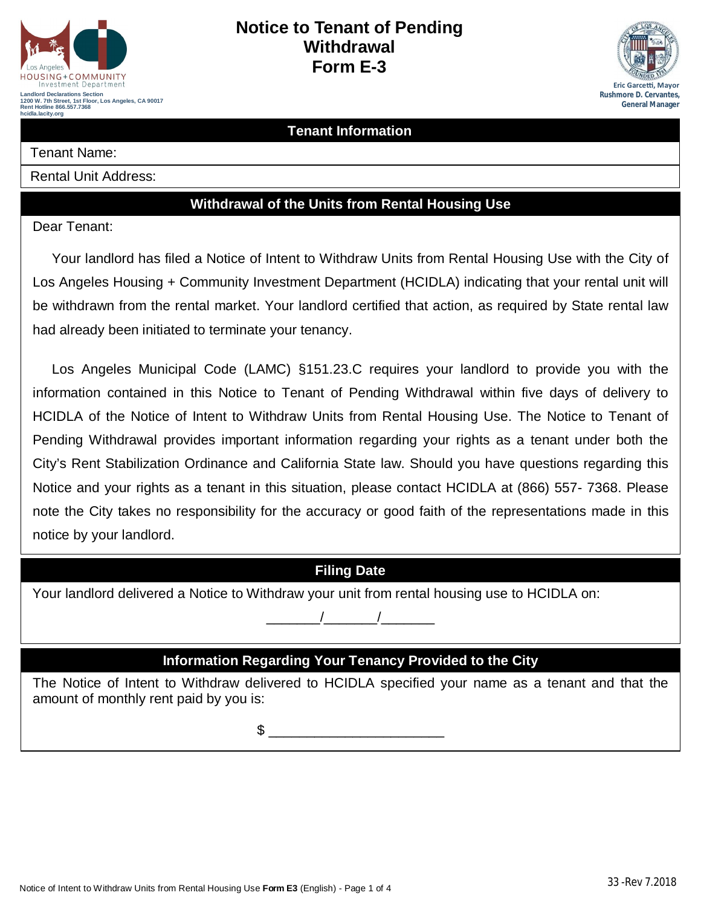

#### **Notice to Tenant of Pending Withdrawal Form E-3**



#### **Tenant Information**

#### Tenant Name:

Rental Unit Address:

#### **Withdrawal of the Units from Rental Housing Use**

Dear Tenant:

 Your landlord has filed a Notice of Intent to Withdraw Units from Rental Housing Use with the City of Los Angeles Housing + Community Investment Department (HCIDLA) indicating that your rental unit will be withdrawn from the rental market. Your landlord certified that action, as required by State rental law had already been initiated to terminate your tenancy.

 Los Angeles Municipal Code (LAMC) §151.23.C requires your landlord to provide you with the information contained in this Notice to Tenant of Pending Withdrawal within five days of delivery to HCIDLA of the Notice of Intent to Withdraw Units from Rental Housing Use. The Notice to Tenant of Pending Withdrawal provides important information regarding your rights as a tenant under both the City's Rent Stabilization Ordinance and California State law. Should you have questions regarding this Notice and your rights as a tenant in this situation, please contact HCIDLA at (866) 557- 7368. Please note the City takes no responsibility for the accuracy or good faith of the representations made in this notice by your landlord.

#### **Filing Date**

Your landlord delivered a Notice to Withdraw your unit from rental housing use to HCIDLA on:

#### **Information Regarding Your Tenancy Provided to the City**

 $\frac{1}{2}$   $\frac{1}{2}$   $\frac{1}{2}$   $\frac{1}{2}$   $\frac{1}{2}$   $\frac{1}{2}$   $\frac{1}{2}$   $\frac{1}{2}$   $\frac{1}{2}$   $\frac{1}{2}$   $\frac{1}{2}$   $\frac{1}{2}$   $\frac{1}{2}$   $\frac{1}{2}$   $\frac{1}{2}$   $\frac{1}{2}$   $\frac{1}{2}$   $\frac{1}{2}$   $\frac{1}{2}$   $\frac{1}{2}$   $\frac{1}{2}$   $\frac{1}{2}$ 

The Notice of Intent to Withdraw delivered to HCIDLA specified your name as a tenant and that the amount of monthly rent paid by you is:

 $\mathbb S$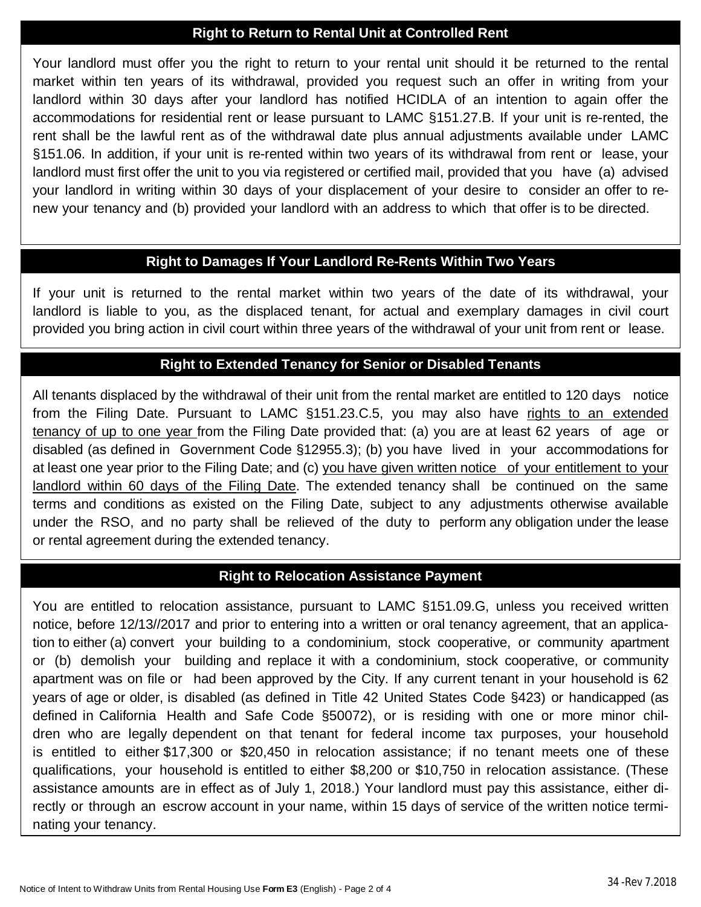#### **Right to Return to Rental Unit at Controlled Rent**

Your landlord must offer you the right to return to your rental unit should it be returned to the rental market within ten years of its withdrawal, provided you request such an offer in writing from your landlord within 30 days after your landlord has notified HCIDLA of an intention to again offer the accommodations for residential rent or lease pursuant to LAMC §151.27.B. If your unit is re-rented, the rent shall be the lawful rent as of the withdrawal date plus annual adjustments available under LAMC §151.06. In addition, if your unit is re-rented within two years of its withdrawal from rent or lease, your landlord must first offer the unit to you via registered or certified mail, provided that you have (a) advised your landlord in writing within 30 days of your displacement of your desire to consider an offer to renew your tenancy and (b) provided your landlord with an address to which that offer is to be directed.

#### **Right to Damages If Your Landlord Re-Rents Within Two Years**

If your unit is returned to the rental market within two years of the date of its withdrawal, your landlord is liable to you, as the displaced tenant, for actual and exemplary damages in civil court provided you bring action in civil court within three years of the withdrawal of your unit from rent or lease.

#### **Right to Extended Tenancy for Senior or Disabled Tenants**

All tenants displaced by the withdrawal of their unit from the rental market are entitled to 120 days notice from the Filing Date. Pursuant to LAMC §151.23.C.5, you may also have rights to an extended tenancy of up to one year from the Filing Date provided that: (a) you are at least 62 years of age or disabled (as defined in Government Code §12955.3); (b) you have lived in your accommodations for at least one year prior to the Filing Date; and (c) you have given written notice of your entitlement to your landlord within 60 days of the Filing Date. The extended tenancy shall be continued on the same terms and conditions as existed on the Filing Date, subject to any adjustments otherwise available under the RSO, and no party shall be relieved of the duty to perform any obligation under the lease or rental agreement during the extended tenancy.

#### **Right to Relocation Assistance Payment**

You are entitled to relocation assistance, pursuant to LAMC §151.09.G, unless you received written notice, before 12/13//2017 and prior to entering into a written or oral tenancy agreement, that an application to either (a) convert your building to a condominium, stock cooperative, or community apartment or (b) demolish your building and replace it with a condominium, stock cooperative, or community apartment was on file or had been approved by the City. If any current tenant in your household is 62 years of age or older, is disabled (as defined in Title 42 United States Code §423) or handicapped (as defined in California Health and Safe Code §50072), or is residing with one or more minor children who are legally dependent on that tenant for federal income tax purposes, your household is entitled to either \$17,300 or \$20,450 in relocation assistance; if no tenant meets one of these qualifications, your household is entitled to either \$8,200 or \$10,750 in relocation assistance. (These assistance amounts are in effect as of July 1, 2018.) Your landlord must pay this assistance, either directly or through an escrow account in your name, within 15 days of service of the written notice terminating your tenancy.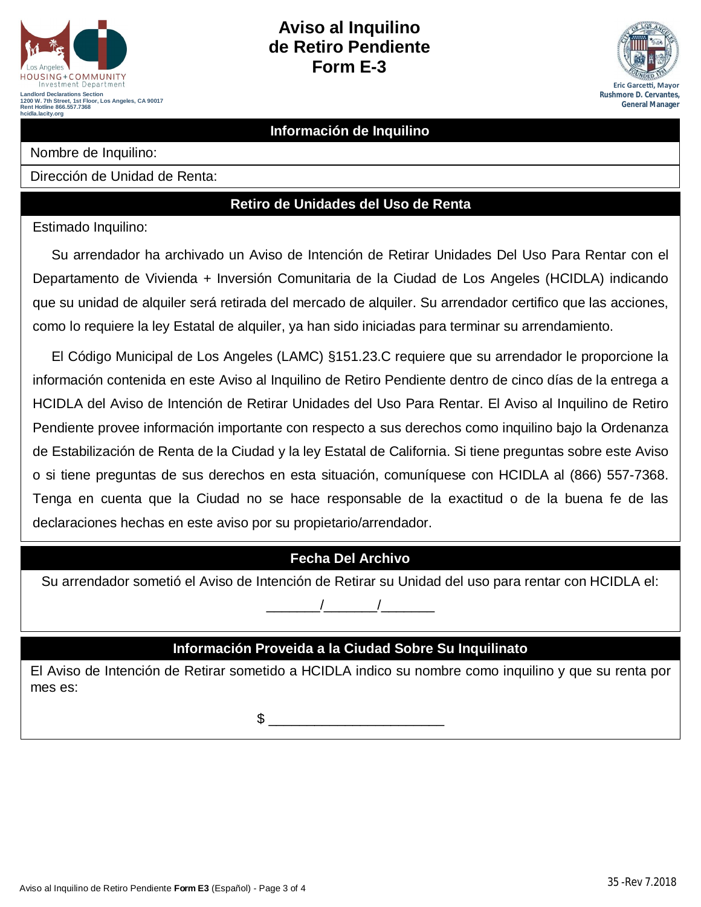

### **Aviso al Inquilino de Retiro Pendiente Form E-3**



#### **Información de Inquilino**

#### Nombre de Inquilino:

Dirección de Unidad de Renta:

#### **Retiro de Unidades del Uso de Renta**

Estimado Inquilino:

 Su arrendador ha archivado un Aviso de Intención de Retirar Unidades Del Uso Para Rentar con el Departamento de Vivienda + Inversión Comunitaria de la Ciudad de Los Angeles (HCIDLA) indicando que su unidad de alquiler será retirada del mercado de alquiler. Su arrendador certifico que las acciones, como lo requiere la ley Estatal de alquiler, ya han sido iniciadas para terminar su arrendamiento.

 El Código Municipal de Los Angeles (LAMC) §151.23.C requiere que su arrendador le proporcione la información contenida en este Aviso al Inquilino de Retiro Pendiente dentro de cinco días de la entrega a HCIDLA del Aviso de Intención de Retirar Unidades del Uso Para Rentar. El Aviso al Inquilino de Retiro Pendiente provee información importante con respecto a sus derechos como inquilino bajo la Ordenanza de Estabilización de Renta de la Ciudad y la ley Estatal de California. Si tiene preguntas sobre este Aviso o si tiene preguntas de sus derechos en esta situación, comuníquese con HCIDLA al (866) 557-7368. Tenga en cuenta que la Ciudad no se hace responsable de la exactitud o de la buena fe de las declaraciones hechas en este aviso por su propietario/arrendador.

#### **Fecha Del Archivo**

Su arrendador sometió el Aviso de Intención de Retirar su Unidad del uso para rentar con HCIDLA el:

\_\_\_\_\_\_\_/\_\_\_\_\_\_\_/\_\_\_\_\_\_\_

#### **Información Proveida a la Ciudad Sobre Su Inquilinato**

El Aviso de Intención de Retirar sometido a HCIDLA indico su nombre como inquilino y que su renta por mes es:

 $\mathfrak s$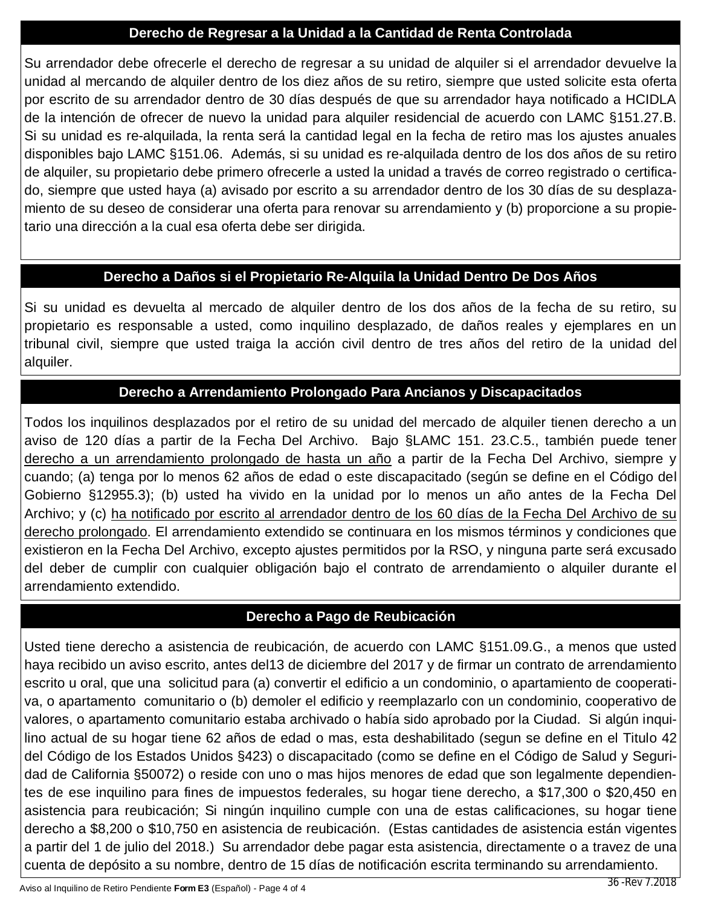#### **Derecho de Regresar a la Unidad a la Cantidad de Renta Controlada**

Su arrendador debe ofrecerle el derecho de regresar a su unidad de alquiler si el arrendador devuelve la unidad al mercando de alquiler dentro de los diez años de su retiro, siempre que usted solicite esta oferta por escrito de su arrendador dentro de 30 días después de que su arrendador haya notificado a HCIDLA de la intención de ofrecer de nuevo la unidad para alquiler residencial de acuerdo con LAMC §151.27.B. Si su unidad es re-alquilada, la renta será la cantidad legal en la fecha de retiro mas los ajustes anuales disponibles bajo LAMC §151.06. Además, si su unidad es re-alquilada dentro de los dos años de su retiro de alquiler, su propietario debe primero ofrecerle a usted la unidad a través de correo registrado o certificado, siempre que usted haya (a) avisado por escrito a su arrendador dentro de los 30 días de su desplazamiento de su deseo de considerar una oferta para renovar su arrendamiento y (b) proporcione a su propietario una dirección a la cual esa oferta debe ser dirigida.

#### **Derecho a Daños si el Propietario Re-Alquila la Unidad Dentro De Dos Años**

Si su unidad es devuelta al mercado de alquiler dentro de los dos años de la fecha de su retiro, su propietario es responsable a usted, como inquilino desplazado, de daños reales y ejemplares en un tribunal civil, siempre que usted traiga la acción civil dentro de tres años del retiro de la unidad del alquiler.

#### **Derecho a Arrendamiento Prolongado Para Ancianos y Discapacitados**

Todos los inquilinos desplazados por el retiro de su unidad del mercado de alquiler tienen derecho a un aviso de 120 días a partir de la Fecha Del Archivo. Bajo §LAMC 151. 23.C.5., también puede tener derecho a un arrendamiento prolongado de hasta un año a partir de la Fecha Del Archivo, siempre y cuando; (a) tenga por lo menos 62 años de edad o este discapacitado (según se define en el Código del Gobierno §12955.3); (b) usted ha vivido en la unidad por lo menos un año antes de la Fecha Del Archivo; y (c) ha notificado por escrito al arrendador dentro de los 60 días de la Fecha Del Archivo de su derecho prolongado. El arrendamiento extendido se continuara en los mismos términos y condiciones que existieron en la Fecha Del Archivo, excepto ajustes permitidos por la RSO, y ninguna parte será excusado del deber de cumplir con cualquier obligación bajo el contrato de arrendamiento o alquiler durante el arrendamiento extendido.

#### **Derecho a Pago de Reubicación**

Usted tiene derecho a asistencia de reubicación, de acuerdo con LAMC §151.09.G., a menos que usted haya recibido un aviso escrito, antes del13 de diciembre del 2017 y de firmar un contrato de arrendamiento escrito u oral, que una solicitud para (a) convertir el edificio a un condominio, o apartamiento de cooperativa, o apartamento comunitario o (b) demoler el edificio y reemplazarlo con un condominio, cooperativo de valores, o apartamento comunitario estaba archivado o había sido aprobado por la Ciudad. Si algún inquilino actual de su hogar tiene 62 años de edad o mas, esta deshabilitado (segun se define en el Titulo 42 del Código de los Estados Unidos §423) o discapacitado (como se define en el Código de Salud y Seguridad de California §50072) o reside con uno o mas hijos menores de edad que son legalmente dependientes de ese inquilino para fines de impuestos federales, su hogar tiene derecho, a \$17,300 o \$20,450 en asistencia para reubicación; Si ningún inquilino cumple con una de estas calificaciones, su hogar tiene derecho a \$8,200 o \$10,750 en asistencia de reubicación. (Estas cantidades de asistencia están vigentes a partir del 1 de julio del 2018.) Su arrendador debe pagar esta asistencia, directamente o a travez de una cuenta de depósito a su nombre, dentro de 15 días de notificación escrita terminando su arrendamiento.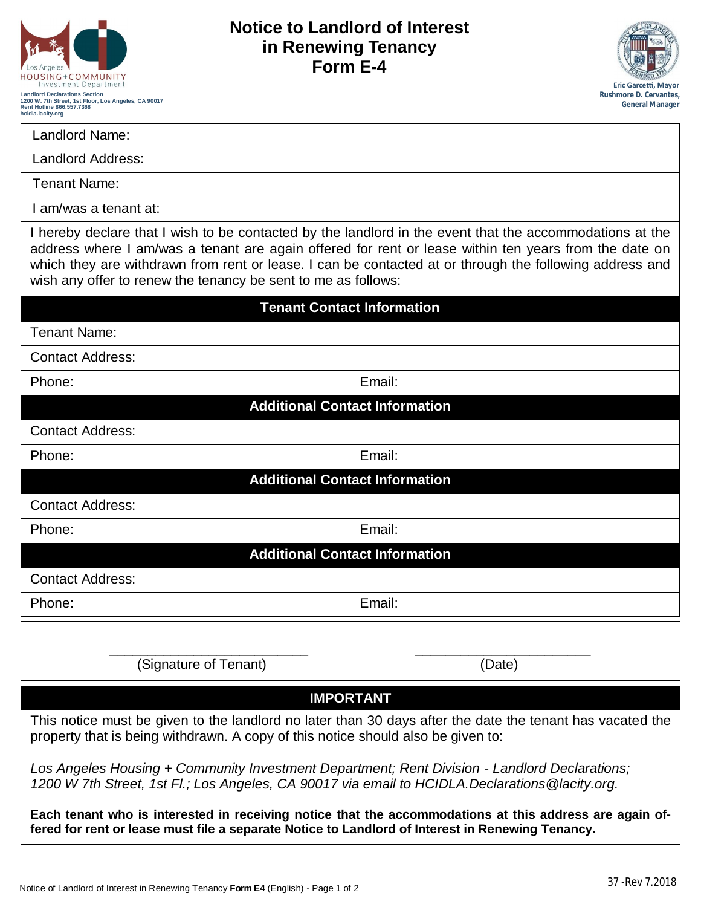| Los Angeles<br>HOUSING+COMMUNITY<br>Investment Department                                                                                        |
|--------------------------------------------------------------------------------------------------------------------------------------------------|
| <b>Landlord Declarations Section</b><br>1200 W. 7th Street, 1st Floor, Los Angeles, CA 90017<br>Rent Hotline 866, 557, 7368<br>hcidla.lacity.org |



| Landlord Name:                                                                                                                                                                                                                                                                                                                                                                                |                                       |  |  |  |  |  |  |
|-----------------------------------------------------------------------------------------------------------------------------------------------------------------------------------------------------------------------------------------------------------------------------------------------------------------------------------------------------------------------------------------------|---------------------------------------|--|--|--|--|--|--|
| <b>Landlord Address:</b>                                                                                                                                                                                                                                                                                                                                                                      |                                       |  |  |  |  |  |  |
| <b>Tenant Name:</b>                                                                                                                                                                                                                                                                                                                                                                           |                                       |  |  |  |  |  |  |
|                                                                                                                                                                                                                                                                                                                                                                                               |                                       |  |  |  |  |  |  |
| I am/was a tenant at:                                                                                                                                                                                                                                                                                                                                                                         |                                       |  |  |  |  |  |  |
| I hereby declare that I wish to be contacted by the landlord in the event that the accommodations at the<br>address where I am/was a tenant are again offered for rent or lease within ten years from the date on<br>which they are withdrawn from rent or lease. I can be contacted at or through the following address and<br>wish any offer to renew the tenancy be sent to me as follows: |                                       |  |  |  |  |  |  |
|                                                                                                                                                                                                                                                                                                                                                                                               | <b>Tenant Contact Information</b>     |  |  |  |  |  |  |
| Tenant Name:                                                                                                                                                                                                                                                                                                                                                                                  |                                       |  |  |  |  |  |  |
| <b>Contact Address:</b>                                                                                                                                                                                                                                                                                                                                                                       |                                       |  |  |  |  |  |  |
| Phone:                                                                                                                                                                                                                                                                                                                                                                                        | Email:                                |  |  |  |  |  |  |
|                                                                                                                                                                                                                                                                                                                                                                                               | <b>Additional Contact Information</b> |  |  |  |  |  |  |
| <b>Contact Address:</b>                                                                                                                                                                                                                                                                                                                                                                       |                                       |  |  |  |  |  |  |
| Phone:                                                                                                                                                                                                                                                                                                                                                                                        | Email:                                |  |  |  |  |  |  |
|                                                                                                                                                                                                                                                                                                                                                                                               | <b>Additional Contact Information</b> |  |  |  |  |  |  |
| <b>Contact Address:</b>                                                                                                                                                                                                                                                                                                                                                                       |                                       |  |  |  |  |  |  |
| Phone:                                                                                                                                                                                                                                                                                                                                                                                        | Email:                                |  |  |  |  |  |  |
|                                                                                                                                                                                                                                                                                                                                                                                               | <b>Additional Contact Information</b> |  |  |  |  |  |  |
| <b>Contact Address:</b>                                                                                                                                                                                                                                                                                                                                                                       |                                       |  |  |  |  |  |  |
| Phone:                                                                                                                                                                                                                                                                                                                                                                                        | Email:                                |  |  |  |  |  |  |
|                                                                                                                                                                                                                                                                                                                                                                                               |                                       |  |  |  |  |  |  |
| (Signature of Tenant)                                                                                                                                                                                                                                                                                                                                                                         | (Date)                                |  |  |  |  |  |  |
|                                                                                                                                                                                                                                                                                                                                                                                               | <b>IMPORTANT</b>                      |  |  |  |  |  |  |
| This notice must be given to the landlord no later than 30 days after the date the tenant has vacated the<br>property that is being withdrawn. A copy of this notice should also be given to:                                                                                                                                                                                                 |                                       |  |  |  |  |  |  |
| Los Angeles Housing + Community Investment Department; Rent Division - Landlord Declarations;<br>1200 W 7th Street, 1st Fl.; Los Angeles, CA 90017 via email to HCIDLA. Declarations @lacity.org.                                                                                                                                                                                             |                                       |  |  |  |  |  |  |
| Each tenant who is interested in receiving notice that the accommodations at this address are again of-<br>fered for rent or lease must file a separate Notice to Landlord of Interest in Renewing Tenancy.                                                                                                                                                                                   |                                       |  |  |  |  |  |  |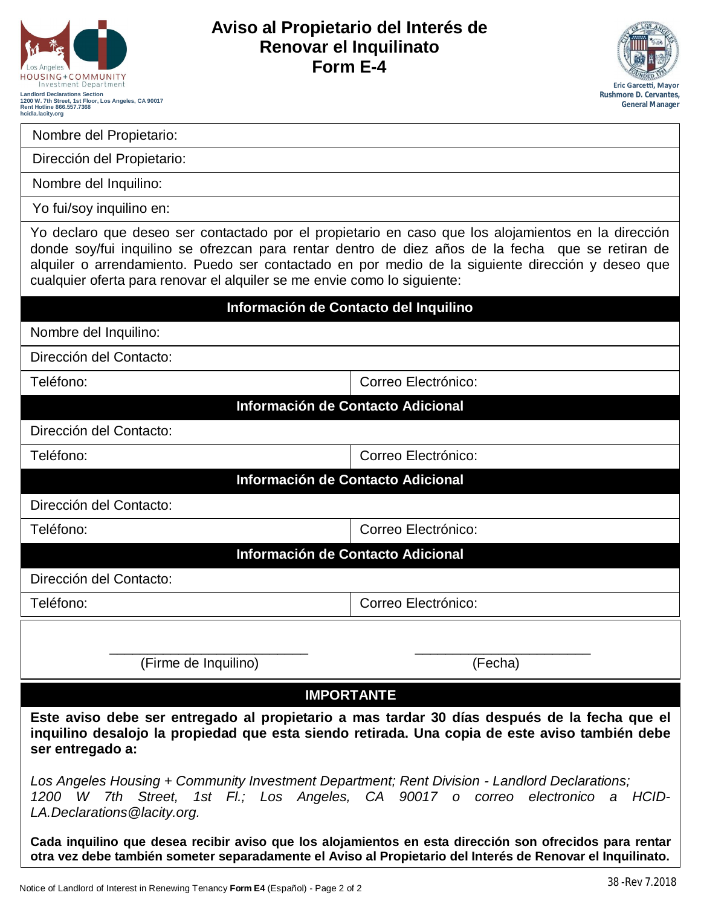| Los Angeles                                                                                                                      |
|----------------------------------------------------------------------------------------------------------------------------------|
| HOUSING+COMMUNITY<br>Investment Department                                                                                       |
| <b>Landlord Declarations Section</b><br>1200 W. 7th Street, 1st Floor, Los Angeles, CA 90017<br><b>Rent Hotline 866,557,7368</b> |

**hcidla.lacity.org**



Dirección del Propietario:

Nombre del Inquilino:

Yo fui/soy inquilino en:

Yo declaro que deseo ser contactado por el propietario en caso que los alojamientos en la dirección donde soy/fui inquilino se ofrezcan para rentar dentro de diez años de la fecha que se retiran de alquiler o arrendamiento. Puedo ser contactado en por medio de la siguiente dirección y deseo que cualquier oferta para renovar el alquiler se me envie como lo siguiente:

#### **Información de Contacto del Inquilino**

Nombre del Inquilino:

Dirección del Contacto:

Teléfono: Correo Electrónico:

#### **Información de Contacto Adicional**

Dirección del Contacto:

Teléfono: Correo Electrónico:

#### **Información de Contacto Adicional**

Dirección del Contacto:

Teléfono: Correo Electrónico:

#### **Información de Contacto Adicional**

Dirección del Contacto:

Teléfono: Correo Electrónico:

\_\_\_\_\_\_\_\_\_\_\_\_\_\_\_\_\_\_\_\_\_\_\_\_\_\_ \_\_\_\_\_\_\_\_\_\_\_\_\_\_\_\_\_\_\_\_\_\_\_ (Firme de Inquilino) (Fecha)

#### **IMPORTANTE**

**Este aviso debe ser entregado al propietario a mas tardar 30 días después de la fecha que el inquilino desalojo la propiedad que esta siendo retirada. Una copia de este aviso también debe ser entregado a:**

*Los Angeles Housing + Community Investment Department; Rent Division - Landlord Declarations; 1200 W 7th Street, 1st Fl.; Los Angeles, CA 90017 o correo electronico a HCID-LA.Declarations@lacity.org.*

**Cada inquilino que desea recibir aviso que los alojamientos en esta dirección son ofrecidos para rentar otra vez debe también someter separadamente el Aviso al Propietario del Interés de Renovar el Inquilinato.**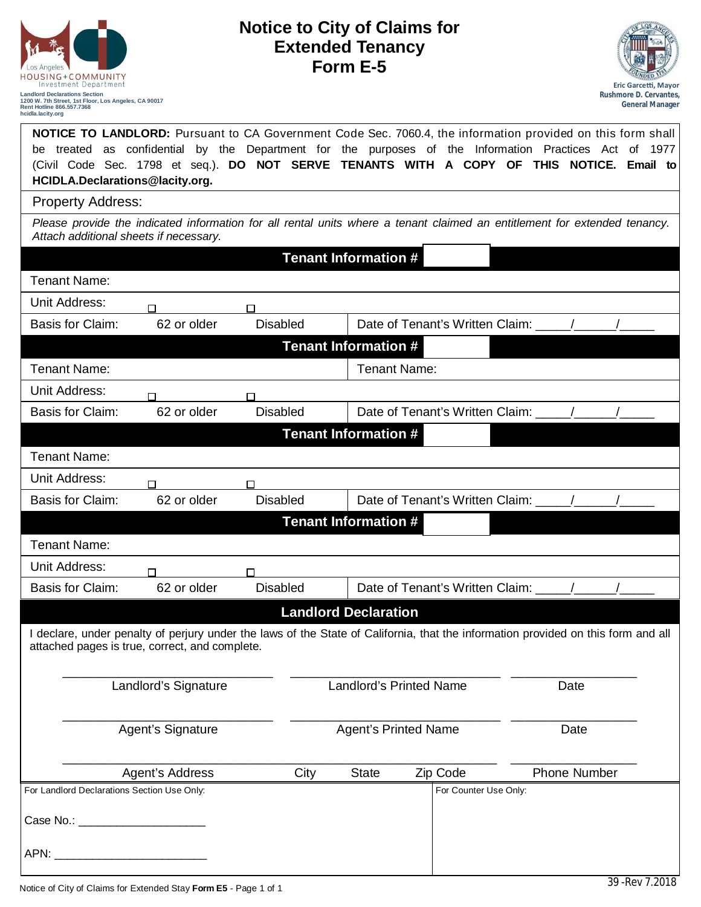

### **Notice to City of Claims for Extended Tenancy Form E-5**



|               |                                             | <b>NOTICE TO LANDLORD:</b> Pursuant to CA Government Code Sec. 7060.4, the information provided on this form shall<br>be treated as confidential by the Department for the purposes of the Information Practices Act of 1977<br>(Civil Code Sec. 1798 et seq.). DO NOT SERVE TENANTS WITH A COPY OF THIS NOTICE. Email to<br>HCIDLA.Declarations@lacity.org. |                      |      |                                |                                    |  |                     |  |  |
|---------------|---------------------------------------------|--------------------------------------------------------------------------------------------------------------------------------------------------------------------------------------------------------------------------------------------------------------------------------------------------------------------------------------------------------------|----------------------|------|--------------------------------|------------------------------------|--|---------------------|--|--|
|               | <b>Property Address:</b>                    |                                                                                                                                                                                                                                                                                                                                                              |                      |      |                                |                                    |  |                     |  |  |
|               |                                             | Please provide the indicated information for all rental units where a tenant claimed an entitlement for extended tenancy.<br>Attach additional sheets if necessary.                                                                                                                                                                                          |                      |      |                                |                                    |  |                     |  |  |
|               | <b>Tenant Name:</b>                         |                                                                                                                                                                                                                                                                                                                                                              |                      |      | <b>Tenant Information #</b>    |                                    |  |                     |  |  |
| Unit Address: |                                             |                                                                                                                                                                                                                                                                                                                                                              |                      |      |                                |                                    |  |                     |  |  |
|               | Basis for Claim:                            | □<br>62 or older                                                                                                                                                                                                                                                                                                                                             | □<br><b>Disabled</b> |      |                                | Date of Tenant's Written Claim:    |  |                     |  |  |
|               |                                             |                                                                                                                                                                                                                                                                                                                                                              |                      |      | <b>Tenant Information #</b>    |                                    |  |                     |  |  |
|               | Tenant Name:                                |                                                                                                                                                                                                                                                                                                                                                              |                      |      | <b>Tenant Name:</b>            |                                    |  |                     |  |  |
| Unit Address: |                                             | П                                                                                                                                                                                                                                                                                                                                                            | □                    |      |                                |                                    |  |                     |  |  |
|               | <b>Basis for Claim:</b>                     | 62 or older                                                                                                                                                                                                                                                                                                                                                  | <b>Disabled</b>      |      |                                | Date of Tenant's Written Claim: __ |  |                     |  |  |
|               |                                             |                                                                                                                                                                                                                                                                                                                                                              |                      |      | <b>Tenant Information #</b>    |                                    |  |                     |  |  |
|               | <b>Tenant Name:</b>                         |                                                                                                                                                                                                                                                                                                                                                              |                      |      |                                |                                    |  |                     |  |  |
| Unit Address: |                                             | П                                                                                                                                                                                                                                                                                                                                                            | п                    |      |                                |                                    |  |                     |  |  |
|               | Basis for Claim:                            | 62 or older                                                                                                                                                                                                                                                                                                                                                  | <b>Disabled</b>      |      |                                | Date of Tenant's Written Claim:    |  |                     |  |  |
|               |                                             |                                                                                                                                                                                                                                                                                                                                                              |                      |      | <b>Tenant Information #</b>    |                                    |  |                     |  |  |
|               | Tenant Name:                                |                                                                                                                                                                                                                                                                                                                                                              |                      |      |                                |                                    |  |                     |  |  |
| Unit Address: |                                             |                                                                                                                                                                                                                                                                                                                                                              |                      |      |                                |                                    |  |                     |  |  |
|               | Basis for Claim:                            | 62 or older                                                                                                                                                                                                                                                                                                                                                  | <b>Disabled</b>      |      |                                |                                    |  |                     |  |  |
|               |                                             | I declare, under penalty of perjury under the laws of the State of California, that the information provided on this form and all<br>attached pages is true, correct, and complete.                                                                                                                                                                          |                      |      | <b>Landlord Declaration</b>    |                                    |  |                     |  |  |
|               |                                             | Landlord's Signature                                                                                                                                                                                                                                                                                                                                         |                      |      | <b>Landlord's Printed Name</b> |                                    |  | Date                |  |  |
|               |                                             | Agent's Signature                                                                                                                                                                                                                                                                                                                                            |                      |      | <b>Agent's Printed Name</b>    |                                    |  | Date                |  |  |
|               |                                             | Agent's Address                                                                                                                                                                                                                                                                                                                                              |                      | City | <b>State</b>                   | Zip Code                           |  | <b>Phone Number</b> |  |  |
|               | For Landlord Declarations Section Use Only: |                                                                                                                                                                                                                                                                                                                                                              |                      |      |                                | For Counter Use Only:              |  |                     |  |  |
| Case No.:     |                                             |                                                                                                                                                                                                                                                                                                                                                              |                      |      |                                |                                    |  |                     |  |  |
| APN:          |                                             |                                                                                                                                                                                                                                                                                                                                                              |                      |      |                                |                                    |  |                     |  |  |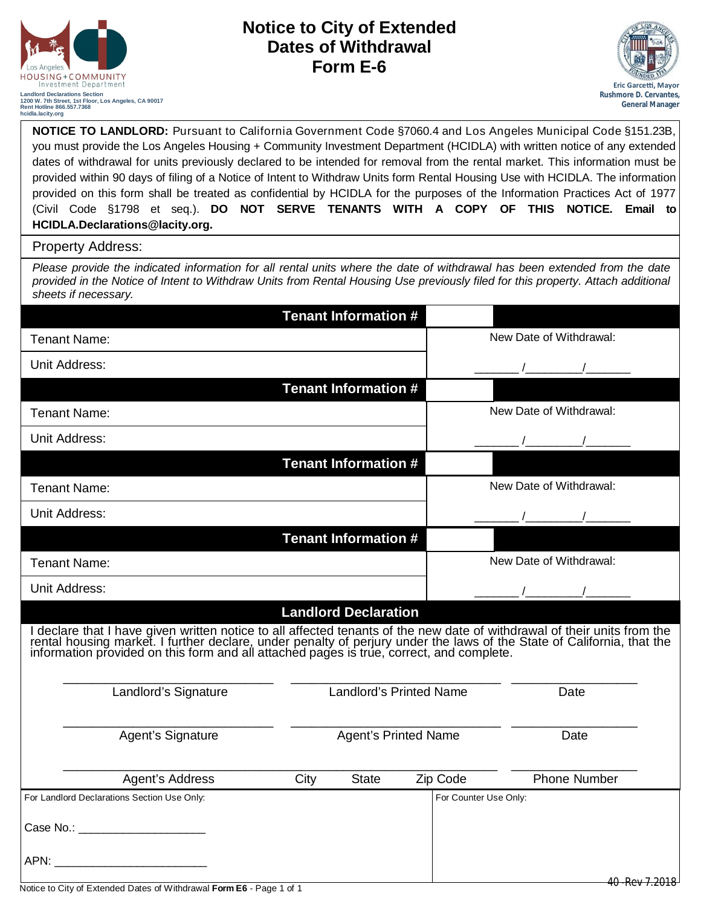

### **Notice to City of Extended Dates of Withdrawal Form E-6**



**NOTICE TO LANDLORD:** Pursuant to California Government Code §7060.4 and Los Angeles Municipal Code §151.23B, you must provide the Los Angeles Housing + Community Investment Department (HCIDLA) with written notice of any extended dates of withdrawal for units previously declared to be intended for removal from the rental market. This information must be provided within 90 days of filing of a Notice of Intent to Withdraw Units form Rental Housing Use with HCIDLA. The information provided on this form shall be treated as confidential by HCIDLA for the purposes of the Information Practices Act of 1977 (Civil Code §1798 et seq.). **DO NOT SERVE TENANTS WITH A COPY OF THIS NOTICE. Email to HCIDLA.Declarations@lacity.org.**

Property Address:

*Please provide the indicated information for all rental units where the date of withdrawal has been extended from the date provided in the Notice of Intent to Withdraw Units from Rental Housing Use previously filed for this property. Attach additional sheets if necessary.*

|                                                                                                                                                                                                                                |                         | <b>Tenant Information #</b>    |                       |                         |                     |  |
|--------------------------------------------------------------------------------------------------------------------------------------------------------------------------------------------------------------------------------|-------------------------|--------------------------------|-----------------------|-------------------------|---------------------|--|
| Tenant Name:                                                                                                                                                                                                                   |                         |                                |                       | New Date of Withdrawal: |                     |  |
| Unit Address:                                                                                                                                                                                                                  |                         |                                |                       |                         |                     |  |
|                                                                                                                                                                                                                                |                         | <b>Tenant Information #</b>    |                       |                         |                     |  |
| <b>Tenant Name:</b>                                                                                                                                                                                                            |                         |                                |                       | New Date of Withdrawal: |                     |  |
| Unit Address:                                                                                                                                                                                                                  |                         |                                |                       |                         |                     |  |
|                                                                                                                                                                                                                                |                         | <b>Tenant Information #</b>    |                       |                         |                     |  |
| <b>Tenant Name:</b>                                                                                                                                                                                                            |                         |                                |                       | New Date of Withdrawal: |                     |  |
| Unit Address:                                                                                                                                                                                                                  |                         |                                |                       |                         |                     |  |
|                                                                                                                                                                                                                                |                         | <b>Tenant Information #</b>    |                       |                         |                     |  |
| <b>Tenant Name:</b>                                                                                                                                                                                                            | New Date of Withdrawal: |                                |                       |                         |                     |  |
| Unit Address:                                                                                                                                                                                                                  |                         |                                |                       |                         |                     |  |
|                                                                                                                                                                                                                                |                         | <b>Landlord Declaration</b>    |                       |                         |                     |  |
| I declare that I have given written notice to all affected tenants of the new date of withdrawal of their units from the rental housing market. I further declare, under penalty of perjury under the laws of the State of Cal |                         |                                |                       |                         |                     |  |
| Landlord's Signature                                                                                                                                                                                                           |                         | <b>Landlord's Printed Name</b> |                       |                         | Date                |  |
| Agent's Signature                                                                                                                                                                                                              |                         | <b>Agent's Printed Name</b>    |                       |                         | Date                |  |
| Agent's Address                                                                                                                                                                                                                | City                    | <b>State</b>                   | Zip Code              |                         | <b>Phone Number</b> |  |
| For Landlord Declarations Section Use Only:                                                                                                                                                                                    |                         |                                | For Counter Use Only: |                         |                     |  |
| Case No.: ______________________                                                                                                                                                                                               |                         |                                |                       |                         |                     |  |
|                                                                                                                                                                                                                                |                         |                                |                       |                         |                     |  |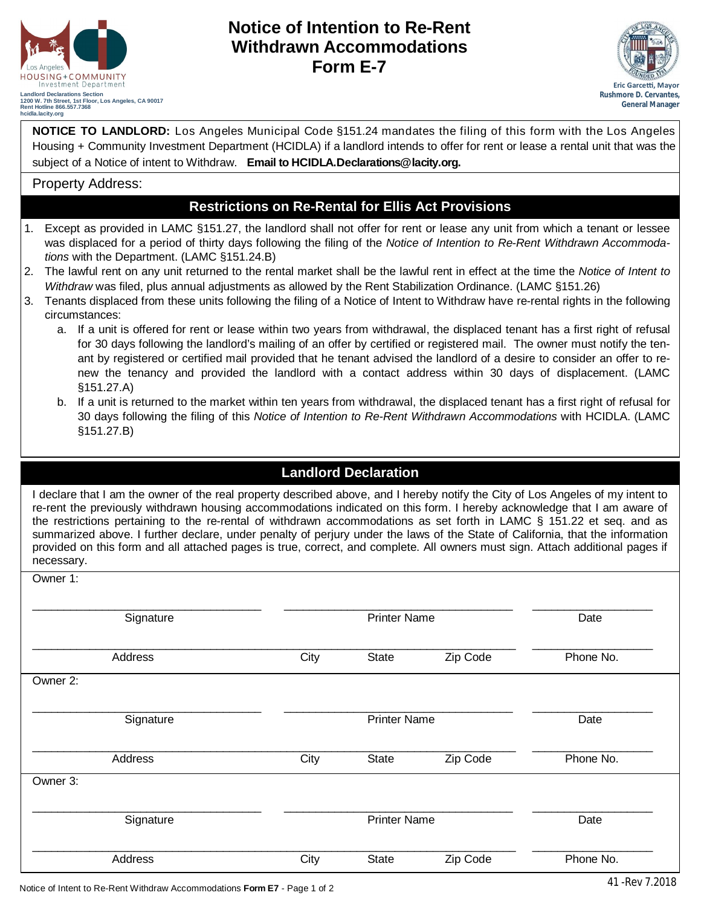

**hcidla.lacity.org**

#### **Notice of Intention to Re-Rent Withdrawn Accommodations Form E-7**



**NOTICE TO LANDLORD:** Los Angeles Municipal Code §151.24 mandates the filing of this form with the Los Angeles Housing + Community Investment Department (HCIDLA) if a landlord intends to offer for rent or lease a rental unit that was the subject of a Notice of intent to Withdraw. **Email to HCIDLA.Declarations@lacity.org.**

Property Address:

#### **Restrictions on Re-Rental for Ellis Act Provisions**

- 1. Except as provided in LAMC §151.27, the landlord shall not offer for rent or lease any unit from which a tenant or lessee was displaced for a period of thirty days following the filing of the *Notice of Intention to Re-Rent Withdrawn Accommodations* with the Department. (LAMC §151.24.B)
- 2. The lawful rent on any unit returned to the rental market shall be the lawful rent in effect at the time the *Notice of Intent to Withdraw* was filed, plus annual adjustments as allowed by the Rent Stabilization Ordinance. (LAMC §151.26)
- 3. Tenants displaced from these units following the filing of a Notice of Intent to Withdraw have re-rental rights in the following circumstances:
	- a. If a unit is offered for rent or lease within two years from withdrawal, the displaced tenant has a first right of refusal for 30 days following the landlord's mailing of an offer by certified or registered mail. The owner must notify the tenant by registered or certified mail provided that he tenant advised the landlord of a desire to consider an offer to renew the tenancy and provided the landlord with a contact address within 30 days of displacement. (LAMC §151.27.A)
	- b. If a unit is returned to the market within ten years from withdrawal, the displaced tenant has a first right of refusal for 30 days following the filing of this *Notice of Intention to Re-Rent Withdrawn Accommodations* with HCIDLA. (LAMC §151.27.B)

#### **Landlord Declaration**

I declare that I am the owner of the real property described above, and I hereby notify the City of Los Angeles of my intent to re-rent the previously withdrawn housing accommodations indicated on this form. I hereby acknowledge that I am aware of the restrictions pertaining to the re-rental of withdrawn accommodations as set forth in LAMC § 151.22 et seq. and as summarized above. I further declare, under penalty of perjury under the laws of the State of California, that the information provided on this form and all attached pages is true, correct, and complete. All owners must sign. Attach additional pages if necessary.

Owner 1:

| Signature |      | <b>Printer Name</b> | Date     |           |  |
|-----------|------|---------------------|----------|-----------|--|
| Address   | City | <b>State</b>        | Zip Code | Phone No. |  |
| Owner 2:  |      |                     |          |           |  |
| Signature |      | <b>Printer Name</b> | Date     |           |  |
| Address   | City | <b>State</b>        | Zip Code | Phone No. |  |
| Owner 3:  |      |                     |          |           |  |
| Signature |      | <b>Printer Name</b> |          | Date      |  |
| Address   | City | <b>State</b>        | Zip Code | Phone No. |  |